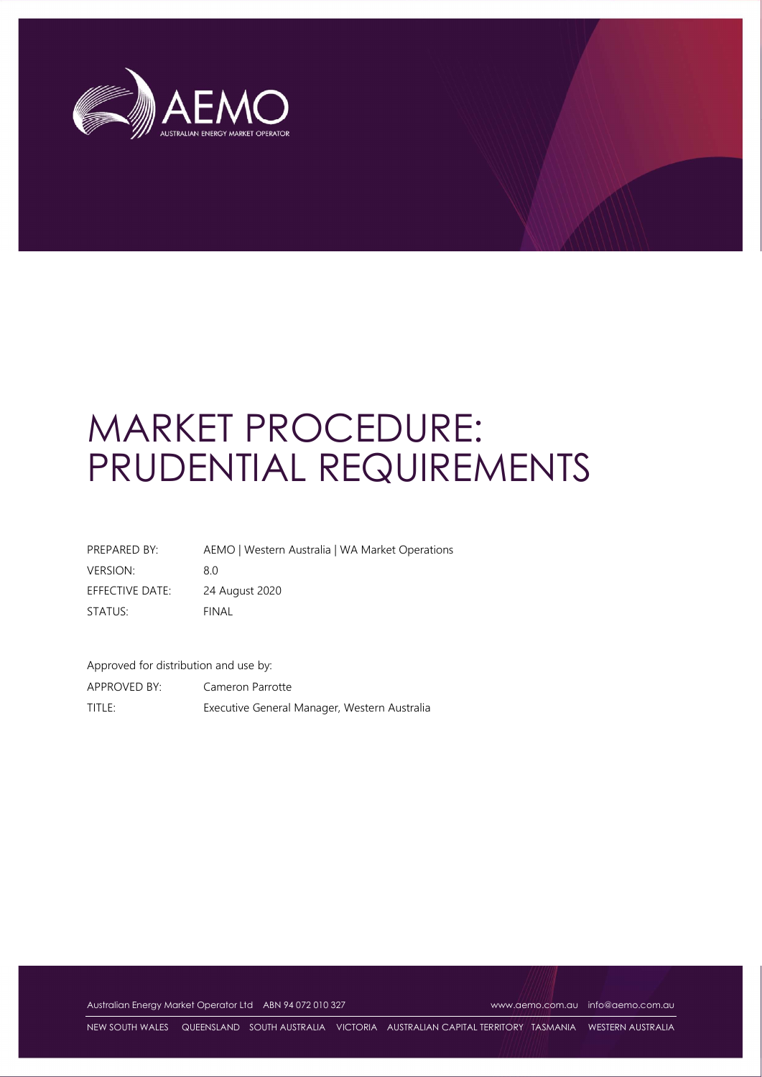

# MARKET PROCEDURE: PRUDENTIAL REQUIREMENTS

| PREPARED BY:    | AEMO   Western Australia   WA Market Operations |
|-----------------|-------------------------------------------------|
| <b>VERSION:</b> | 80                                              |
| EFFECTIVE DATE: | 24 August 2020                                  |
| STATUS:         | FINAL                                           |

Approved for distribution and use by:

APPROVED BY: Cameron Parrotte TITLE: Executive General Manager, Western Australia

Australian Energy Market Operator Ltd ABN 94 072 010 327 www.aemo.com.au info@aemo.com.au

NEW SOUTH WALES QUEENSLAND SOUTH AUSTRALIA VICTORIA AUSTRALIAN CAPITAL TERRITORY TASMANIA WESTERN AUSTRALIA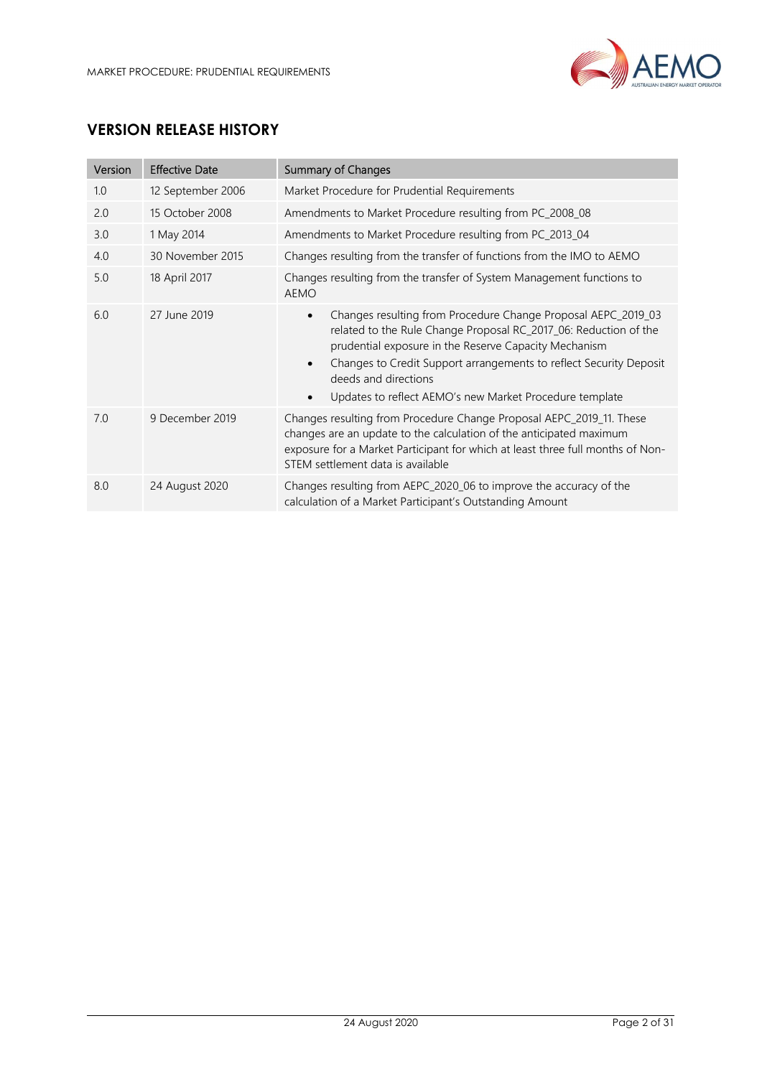

# VERSION RELEASE HISTORY

| Version | <b>Effective Date</b> | <b>Summary of Changes</b>                                                                                                                                                                                                                                                                                                                                                     |
|---------|-----------------------|-------------------------------------------------------------------------------------------------------------------------------------------------------------------------------------------------------------------------------------------------------------------------------------------------------------------------------------------------------------------------------|
| 1.0     | 12 September 2006     | Market Procedure for Prudential Requirements                                                                                                                                                                                                                                                                                                                                  |
| 2.0     | 15 October 2008       | Amendments to Market Procedure resulting from PC_2008_08                                                                                                                                                                                                                                                                                                                      |
| 3.0     | 1 May 2014            | Amendments to Market Procedure resulting from PC_2013_04                                                                                                                                                                                                                                                                                                                      |
| 4.0     | 30 November 2015      | Changes resulting from the transfer of functions from the IMO to AEMO                                                                                                                                                                                                                                                                                                         |
| 5.0     | 18 April 2017         | Changes resulting from the transfer of System Management functions to<br><b>AEMO</b>                                                                                                                                                                                                                                                                                          |
| 6.0     | 27 June 2019          | Changes resulting from Procedure Change Proposal AEPC_2019_03<br>$\bullet$<br>related to the Rule Change Proposal RC_2017_06: Reduction of the<br>prudential exposure in the Reserve Capacity Mechanism<br>Changes to Credit Support arrangements to reflect Security Deposit<br>$\bullet$<br>deeds and directions<br>Updates to reflect AEMO's new Market Procedure template |
| 7.0     | 9 December 2019       | Changes resulting from Procedure Change Proposal AEPC_2019_11. These<br>changes are an update to the calculation of the anticipated maximum<br>exposure for a Market Participant for which at least three full months of Non-<br>STEM settlement data is available                                                                                                            |
| 8.0     | 24 August 2020        | Changes resulting from AEPC_2020_06 to improve the accuracy of the<br>calculation of a Market Participant's Outstanding Amount                                                                                                                                                                                                                                                |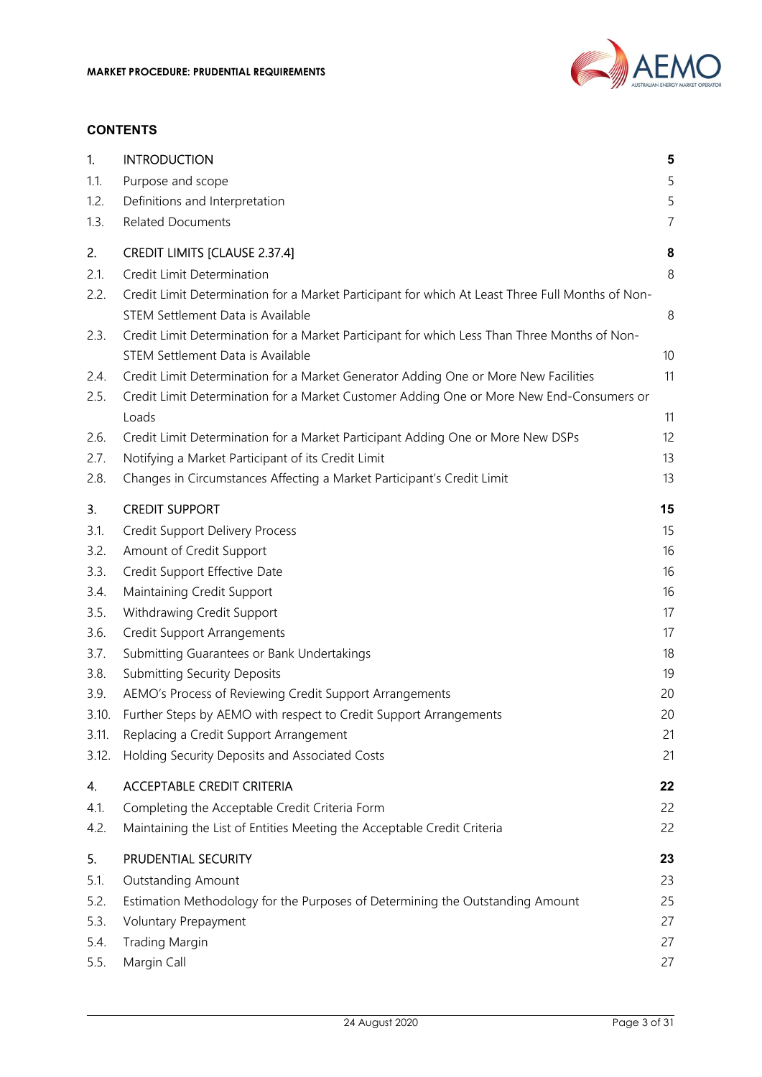

#### **CONTENTS**

| 1.    | <b>INTRODUCTION</b>                                                                               | 5              |
|-------|---------------------------------------------------------------------------------------------------|----------------|
| 1.1.  | Purpose and scope                                                                                 | 5              |
| 1.2.  | Definitions and Interpretation                                                                    | 5              |
| 1.3.  | <b>Related Documents</b>                                                                          | $\overline{7}$ |
| 2.    | <b>CREDIT LIMITS [CLAUSE 2.37.4]</b>                                                              | 8              |
| 2.1.  | Credit Limit Determination                                                                        | 8              |
| 2.2.  | Credit Limit Determination for a Market Participant for which At Least Three Full Months of Non-  |                |
|       | STEM Settlement Data is Available                                                                 | 8              |
| 2.3.  | Credit Limit Determination for a Market Participant for which Less Than Three Months of Non-      |                |
|       | STEM Settlement Data is Available                                                                 | 10             |
| 2.4.  | Credit Limit Determination for a Market Generator Adding One or More New Facilities               | 11             |
| 2.5.  | Credit Limit Determination for a Market Customer Adding One or More New End-Consumers or<br>Loads | 11             |
| 2.6.  | Credit Limit Determination for a Market Participant Adding One or More New DSPs                   | 12             |
| 2.7.  | Notifying a Market Participant of its Credit Limit                                                | 13             |
| 2.8.  | Changes in Circumstances Affecting a Market Participant's Credit Limit                            | 13             |
| 3.    | <b>CREDIT SUPPORT</b>                                                                             | 15             |
| 3.1.  | <b>Credit Support Delivery Process</b>                                                            | 15             |
| 3.2.  | Amount of Credit Support                                                                          | 16             |
| 3.3.  | Credit Support Effective Date                                                                     | 16             |
| 3.4.  | Maintaining Credit Support                                                                        | 16             |
| 3.5.  | Withdrawing Credit Support                                                                        | 17             |
| 3.6.  | <b>Credit Support Arrangements</b>                                                                | 17             |
| 3.7.  | Submitting Guarantees or Bank Undertakings                                                        | 18             |
| 3.8.  | <b>Submitting Security Deposits</b>                                                               | 19             |
| 3.9.  | AEMO's Process of Reviewing Credit Support Arrangements                                           | 20             |
| 3.10. | Further Steps by AEMO with respect to Credit Support Arrangements                                 | 20             |
| 3.11. | Replacing a Credit Support Arrangement                                                            | 21             |
| 3.12. | Holding Security Deposits and Associated Costs                                                    | 21             |
| 4.    | <b>ACCEPTABLE CREDIT CRITERIA</b>                                                                 | 22             |
| 4.1.  | Completing the Acceptable Credit Criteria Form                                                    | 22             |
| 4.2.  | Maintaining the List of Entities Meeting the Acceptable Credit Criteria                           | 22             |
| 5.    | PRUDENTIAL SECURITY                                                                               | 23             |
| 5.1.  | <b>Outstanding Amount</b>                                                                         | 23             |
| 5.2.  | Estimation Methodology for the Purposes of Determining the Outstanding Amount                     | 25             |
| 5.3.  | Voluntary Prepayment                                                                              | 27             |
| 5.4.  | <b>Trading Margin</b>                                                                             | 27             |
| 5.5.  | Margin Call                                                                                       | 27             |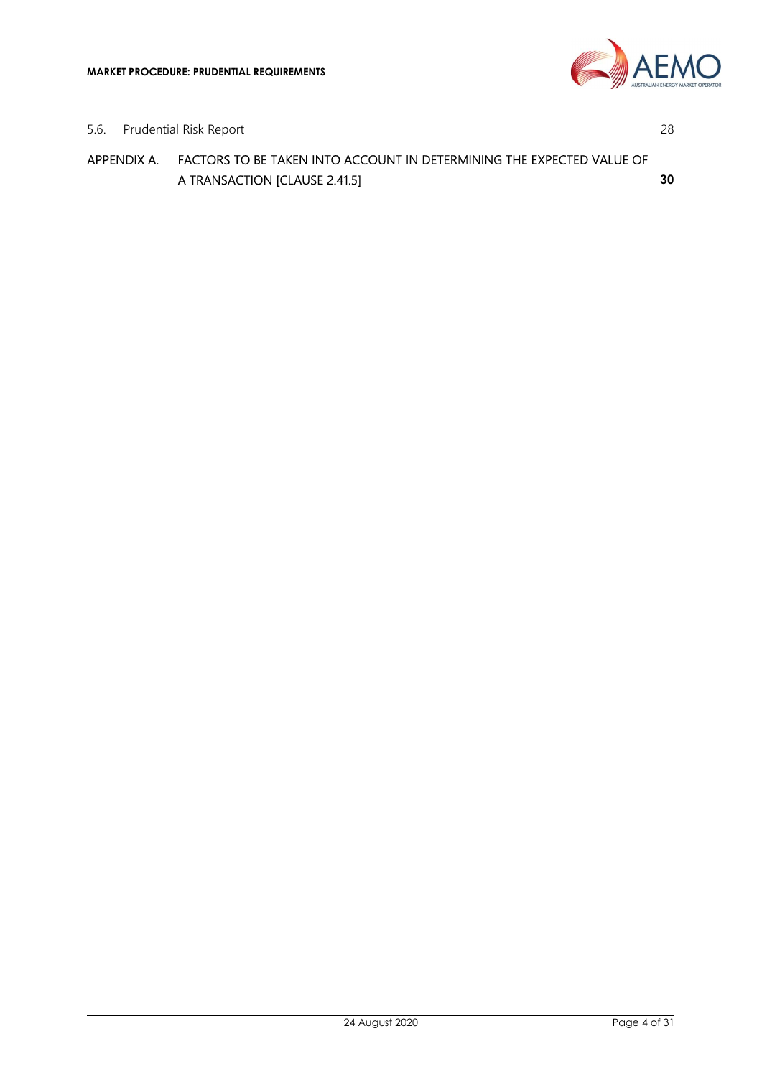

5.6. Prudential Risk Report 28

APPENDIX A. FACTORS TO BE TAKEN INTO ACCOUNT IN DETERMINING THE EXPECTED VALUE OF A TRANSACTION [CLAUSE 2.41.5] 30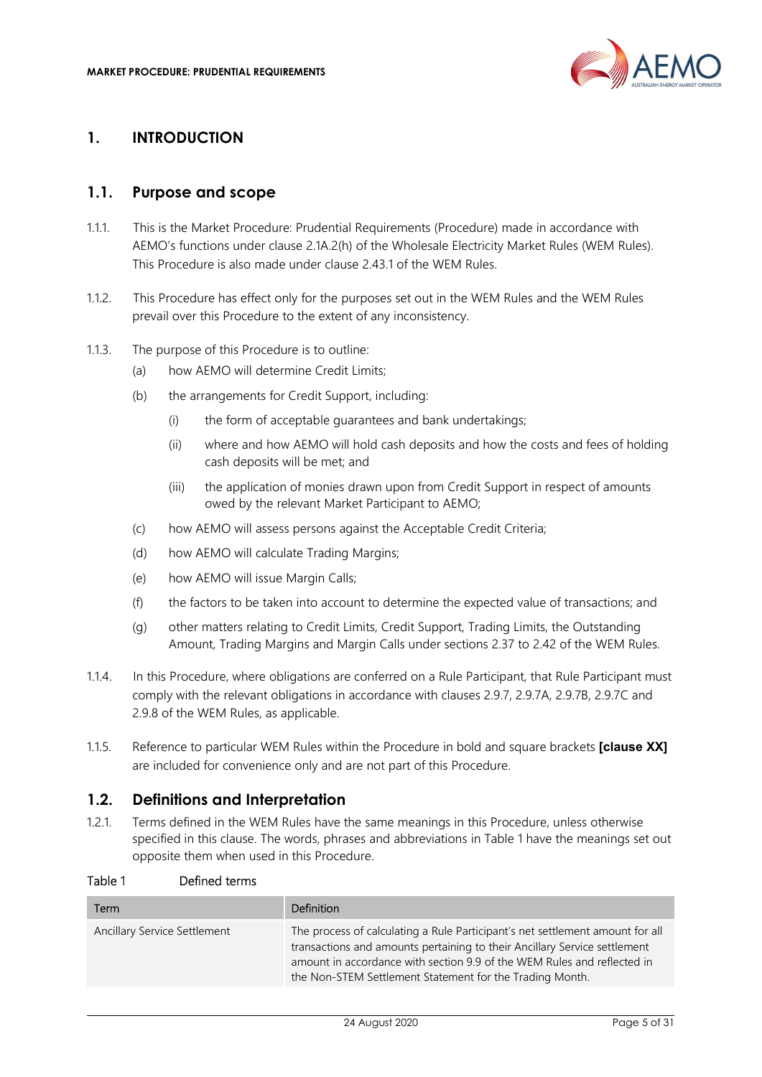

## 1. INTRODUCTION

#### 1.1. Purpose and scope

- 1.1.1. This is the Market Procedure: Prudential Requirements (Procedure) made in accordance with AEMO's functions under clause 2.1A.2(h) of the Wholesale Electricity Market Rules (WEM Rules). This Procedure is also made under clause 2.43.1 of the WEM Rules.
- 1.1.2. This Procedure has effect only for the purposes set out in the WEM Rules and the WEM Rules prevail over this Procedure to the extent of any inconsistency.
- 1.1.3. The purpose of this Procedure is to outline:
	- (a) how AEMO will determine Credit Limits;
	- (b) the arrangements for Credit Support, including:
		- (i) the form of acceptable guarantees and bank undertakings;
		- (ii) where and how AEMO will hold cash deposits and how the costs and fees of holding cash deposits will be met; and
		- (iii) the application of monies drawn upon from Credit Support in respect of amounts owed by the relevant Market Participant to AEMO;
	- (c) how AEMO will assess persons against the Acceptable Credit Criteria;
	- (d) how AEMO will calculate Trading Margins;
	- (e) how AEMO will issue Margin Calls;
	- (f) the factors to be taken into account to determine the expected value of transactions; and
	- (g) other matters relating to Credit Limits, Credit Support, Trading Limits, the Outstanding Amount, Trading Margins and Margin Calls under sections 2.37 to 2.42 of the WEM Rules.
- 1.1.4. In this Procedure, where obligations are conferred on a Rule Participant, that Rule Participant must comply with the relevant obligations in accordance with clauses 2.9.7, 2.9.7A, 2.9.7B, 2.9.7C and 2.9.8 of the WEM Rules, as applicable.
- 1.1.5. Reference to particular WEM Rules within the Procedure in bold and square brackets [clause XX] are included for convenience only and are not part of this Procedure.

#### 1.2. Definitions and Interpretation

1.2.1. Terms defined in the WEM Rules have the same meanings in this Procedure, unless otherwise specified in this clause. The words, phrases and abbreviations in Table 1 have the meanings set out opposite them when used in this Procedure.

| Term                         | <b>Definition</b>                                                                                                                                                                                                                                                                                 |
|------------------------------|---------------------------------------------------------------------------------------------------------------------------------------------------------------------------------------------------------------------------------------------------------------------------------------------------|
| Ancillary Service Settlement | The process of calculating a Rule Participant's net settlement amount for all<br>transactions and amounts pertaining to their Ancillary Service settlement<br>amount in accordance with section 9.9 of the WEM Rules and reflected in<br>the Non-STEM Settlement Statement for the Trading Month. |

#### Table 1 Defined terms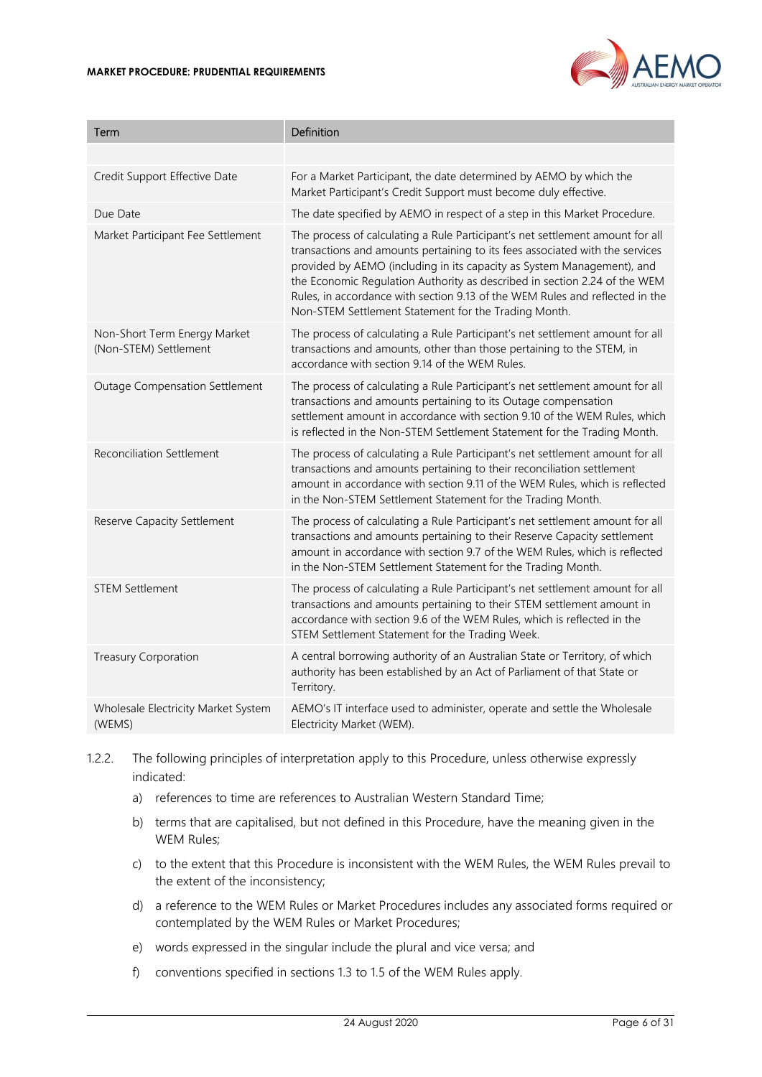

| Term                                                  | <b>Definition</b>                                                                                                                                                                                                                                                                                                                                                                                                                                            |
|-------------------------------------------------------|--------------------------------------------------------------------------------------------------------------------------------------------------------------------------------------------------------------------------------------------------------------------------------------------------------------------------------------------------------------------------------------------------------------------------------------------------------------|
|                                                       |                                                                                                                                                                                                                                                                                                                                                                                                                                                              |
| Credit Support Effective Date                         | For a Market Participant, the date determined by AEMO by which the<br>Market Participant's Credit Support must become duly effective.                                                                                                                                                                                                                                                                                                                        |
| Due Date                                              | The date specified by AEMO in respect of a step in this Market Procedure.                                                                                                                                                                                                                                                                                                                                                                                    |
| Market Participant Fee Settlement                     | The process of calculating a Rule Participant's net settlement amount for all<br>transactions and amounts pertaining to its fees associated with the services<br>provided by AEMO (including in its capacity as System Management), and<br>the Economic Regulation Authority as described in section 2.24 of the WEM<br>Rules, in accordance with section 9.13 of the WEM Rules and reflected in the<br>Non-STEM Settlement Statement for the Trading Month. |
| Non-Short Term Energy Market<br>(Non-STEM) Settlement | The process of calculating a Rule Participant's net settlement amount for all<br>transactions and amounts, other than those pertaining to the STEM, in<br>accordance with section 9.14 of the WEM Rules.                                                                                                                                                                                                                                                     |
| <b>Outage Compensation Settlement</b>                 | The process of calculating a Rule Participant's net settlement amount for all<br>transactions and amounts pertaining to its Outage compensation<br>settlement amount in accordance with section 9.10 of the WEM Rules, which<br>is reflected in the Non-STEM Settlement Statement for the Trading Month.                                                                                                                                                     |
| <b>Reconciliation Settlement</b>                      | The process of calculating a Rule Participant's net settlement amount for all<br>transactions and amounts pertaining to their reconciliation settlement<br>amount in accordance with section 9.11 of the WEM Rules, which is reflected<br>in the Non-STEM Settlement Statement for the Trading Month.                                                                                                                                                        |
| <b>Reserve Capacity Settlement</b>                    | The process of calculating a Rule Participant's net settlement amount for all<br>transactions and amounts pertaining to their Reserve Capacity settlement<br>amount in accordance with section 9.7 of the WEM Rules, which is reflected<br>in the Non-STEM Settlement Statement for the Trading Month.                                                                                                                                                       |
| <b>STEM Settlement</b>                                | The process of calculating a Rule Participant's net settlement amount for all<br>transactions and amounts pertaining to their STEM settlement amount in<br>accordance with section 9.6 of the WEM Rules, which is reflected in the<br>STEM Settlement Statement for the Trading Week.                                                                                                                                                                        |
| <b>Treasury Corporation</b>                           | A central borrowing authority of an Australian State or Territory, of which<br>authority has been established by an Act of Parliament of that State or<br>Territory.                                                                                                                                                                                                                                                                                         |
| Wholesale Electricity Market System<br>(WEMS)         | AEMO's IT interface used to administer, operate and settle the Wholesale<br>Electricity Market (WEM).                                                                                                                                                                                                                                                                                                                                                        |

1.2.2. The following principles of interpretation apply to this Procedure, unless otherwise expressly indicated:

- a) references to time are references to Australian Western Standard Time;
- b) terms that are capitalised, but not defined in this Procedure, have the meaning given in the WEM Rules;
- c) to the extent that this Procedure is inconsistent with the WEM Rules, the WEM Rules prevail to the extent of the inconsistency;
- d) a reference to the WEM Rules or Market Procedures includes any associated forms required or contemplated by the WEM Rules or Market Procedures;
- e) words expressed in the singular include the plural and vice versa; and
- f) conventions specified in sections 1.3 to 1.5 of the WEM Rules apply.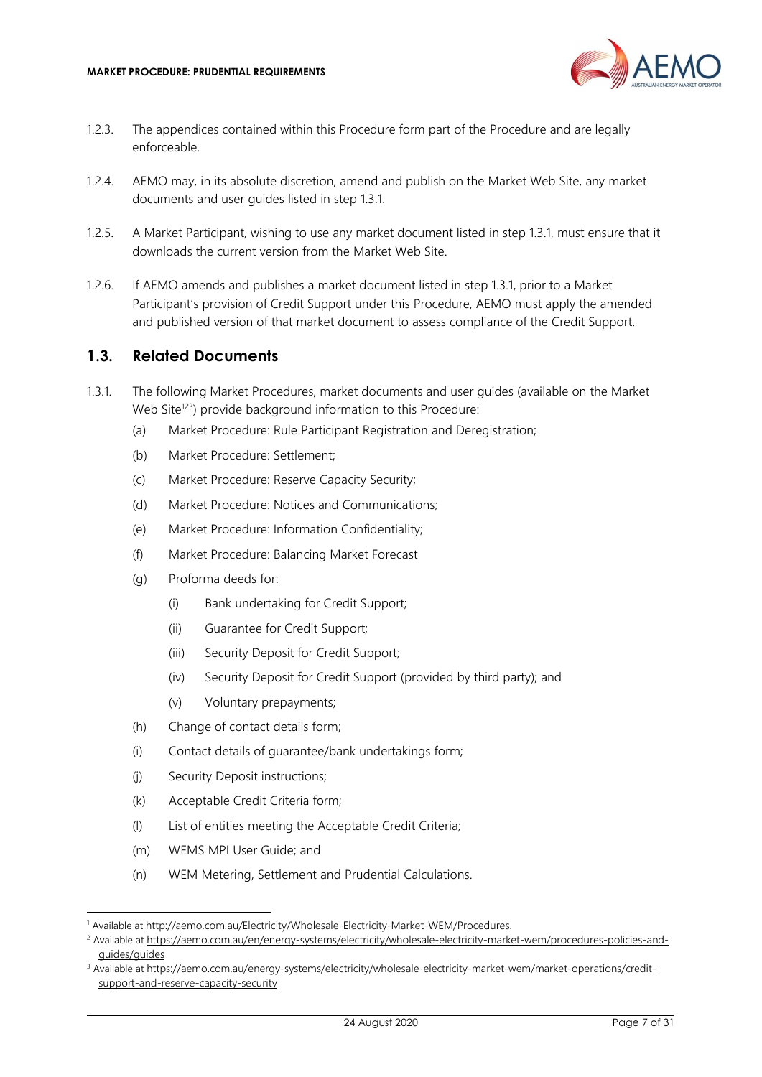

- 1.2.3. The appendices contained within this Procedure form part of the Procedure and are legally enforceable.
- 1.2.4. AEMO may, in its absolute discretion, amend and publish on the Market Web Site, any market documents and user guides listed in step 1.3.1.
- 1.2.5. A Market Participant, wishing to use any market document listed in step 1.3.1, must ensure that it downloads the current version from the Market Web Site.
- 1.2.6. If AEMO amends and publishes a market document listed in step 1.3.1, prior to a Market Participant's provision of Credit Support under this Procedure, AEMO must apply the amended and published version of that market document to assess compliance of the Credit Support.

#### 1.3. Related Documents

- 1.3.1. The following Market Procedures, market documents and user guides (available on the Market Web Site<sup>123</sup>) provide background information to this Procedure:
	- (a) Market Procedure: Rule Participant Registration and Deregistration;
	- (b) Market Procedure: Settlement;
	- (c) Market Procedure: Reserve Capacity Security;
	- (d) Market Procedure: Notices and Communications;
	- (e) Market Procedure: Information Confidentiality;
	- (f) Market Procedure: Balancing Market Forecast
	- (g) Proforma deeds for:
		- (i) Bank undertaking for Credit Support;
		- (ii) Guarantee for Credit Support;
		- (iii) Security Deposit for Credit Support;
		- (iv) Security Deposit for Credit Support (provided by third party); and
		- (v) Voluntary prepayments;
	- (h) Change of contact details form;
	- (i) Contact details of guarantee/bank undertakings form;
	- (j) Security Deposit instructions;
	- (k) Acceptable Credit Criteria form;
	- (l) List of entities meeting the Acceptable Credit Criteria;
	- (m) WEMS MPI User Guide; and
	- (n) WEM Metering, Settlement and Prudential Calculations.

<sup>&</sup>lt;sup>1</sup> Available at http://aemo.com.au/Electricity/Wholesale-Electricity-Market-WEM/Procedures.

<sup>&</sup>lt;sup>2</sup> Available at https://aemo.com.au/en/energy-systems/electricity/wholesale-electricity-market-wem/procedures-policies-andguides/guides

<sup>&</sup>lt;sup>3</sup> Available at https://aemo.com.au/energy-systems/electricity/wholesale-electricity-market-wem/market-operations/creditsupport-and-reserve-capacity-security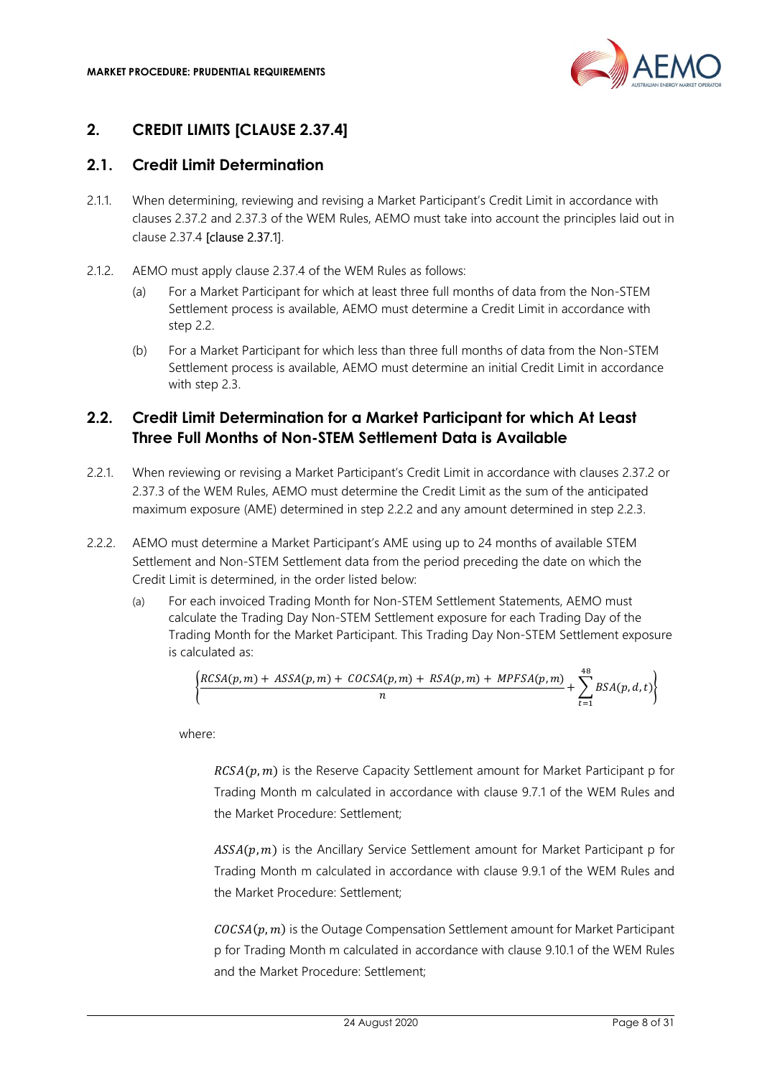

## 2. CREDIT LIMITS [CLAUSE 2.37.4]

## 2.1. Credit Limit Determination

- 2.1.1. When determining, reviewing and revising a Market Participant's Credit Limit in accordance with clauses 2.37.2 and 2.37.3 of the WEM Rules, AEMO must take into account the principles laid out in clause 2.37.4 [clause 2.37.1].
- 2.1.2. AEMO must apply clause 2.37.4 of the WEM Rules as follows:
	- (a) For a Market Participant for which at least three full months of data from the Non-STEM Settlement process is available, AEMO must determine a Credit Limit in accordance with step 2.2.
	- (b) For a Market Participant for which less than three full months of data from the Non-STEM Settlement process is available, AEMO must determine an initial Credit Limit in accordance with step 2.3.

## 2.2. Credit Limit Determination for a Market Participant for which At Least Three Full Months of Non-STEM Settlement Data is Available

- 2.2.1. When reviewing or revising a Market Participant's Credit Limit in accordance with clauses 2.37.2 or 2.37.3 of the WEM Rules, AEMO must determine the Credit Limit as the sum of the anticipated maximum exposure (AME) determined in step 2.2.2 and any amount determined in step 2.2.3.
- 2.2.2. AEMO must determine a Market Participant's AME using up to 24 months of available STEM Settlement and Non-STEM Settlement data from the period preceding the date on which the Credit Limit is determined, in the order listed below:
	- (a) For each invoiced Trading Month for Non-STEM Settlement Statements, AEMO must calculate the Trading Day Non-STEM Settlement exposure for each Trading Day of the Trading Month for the Market Participant. This Trading Day Non-STEM Settlement exposure is calculated as:

$$
\left\{\frac{RCSA(p,m)+ASSA(p,m)+COCSA(p,m)+RSA(p,m)+MPFSA(p,m)}{n}+\sum_{t=1}^{48}BSA(p,d,t)\right\}
$$

where:

 $RCSA(p, m)$  is the Reserve Capacity Settlement amount for Market Participant p for Trading Month m calculated in accordance with clause 9.7.1 of the WEM Rules and the Market Procedure: Settlement;

 $ASSA(p, m)$  is the Ancillary Service Settlement amount for Market Participant p for Trading Month m calculated in accordance with clause 9.9.1 of the WEM Rules and the Market Procedure: Settlement;

 $COCSA(p, m)$  is the Outage Compensation Settlement amount for Market Participant p for Trading Month m calculated in accordance with clause 9.10.1 of the WEM Rules and the Market Procedure: Settlement;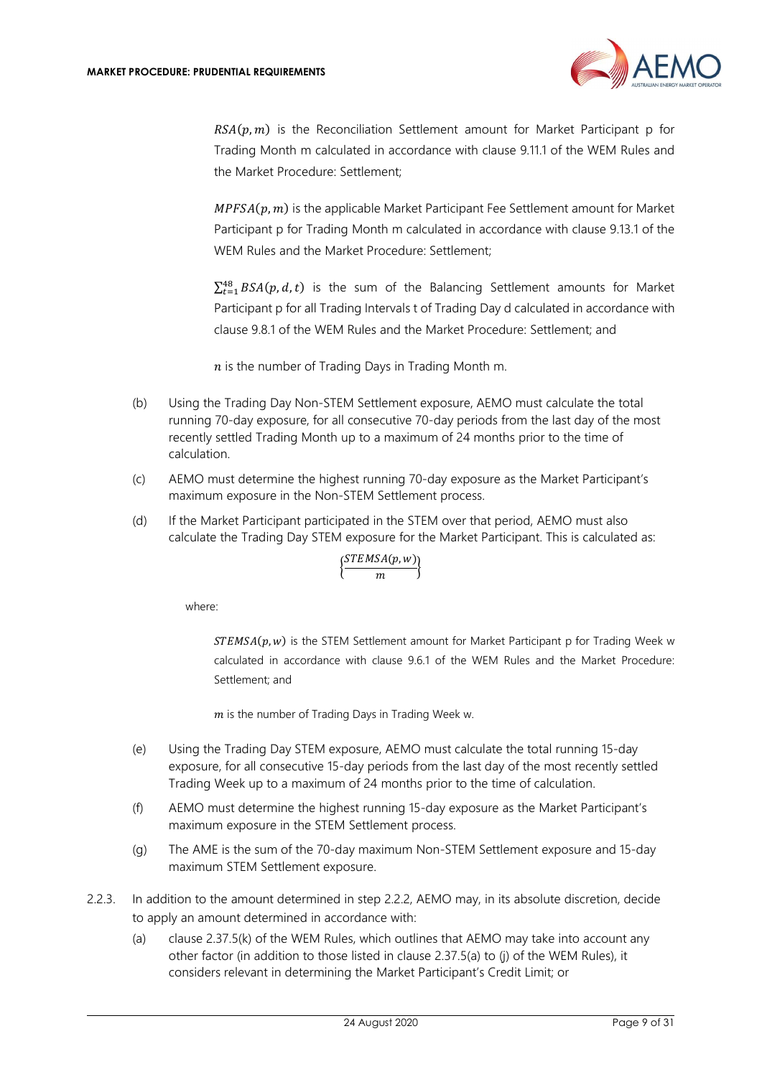

 $RSA(p, m)$  is the Reconciliation Settlement amount for Market Participant p for Trading Month m calculated in accordance with clause 9.11.1 of the WEM Rules and the Market Procedure: Settlement;

 $MPFSA(p, m)$  is the applicable Market Participant Fee Settlement amount for Market Participant p for Trading Month m calculated in accordance with clause 9.13.1 of the WEM Rules and the Market Procedure: Settlement;

 $\sum_{t=1}^{48} BSA(p, d, t)$  is the sum of the Balancing Settlement amounts for Market Participant p for all Trading Intervals t of Trading Day d calculated in accordance with clause 9.8.1 of the WEM Rules and the Market Procedure: Settlement; and

 $n$  is the number of Trading Days in Trading Month m.

- (b) Using the Trading Day Non-STEM Settlement exposure, AEMO must calculate the total running 70-day exposure, for all consecutive 70-day periods from the last day of the most recently settled Trading Month up to a maximum of 24 months prior to the time of calculation.
- (c) AEMO must determine the highest running 70-day exposure as the Market Participant's maximum exposure in the Non-STEM Settlement process.
- (d) If the Market Participant participated in the STEM over that period, AEMO must also calculate the Trading Day STEM exposure for the Market Participant. This is calculated as:

$$
\Big\{\!\frac{STEMSA(p,w)}{m}\!\Big\}
$$

where:

 $STEMSA(p, w)$  is the STEM Settlement amount for Market Participant p for Trading Week w calculated in accordance with clause 9.6.1 of the WEM Rules and the Market Procedure: Settlement; and

 $m$  is the number of Trading Days in Trading Week w.

- (e) Using the Trading Day STEM exposure, AEMO must calculate the total running 15-day exposure, for all consecutive 15-day periods from the last day of the most recently settled Trading Week up to a maximum of 24 months prior to the time of calculation.
- (f) AEMO must determine the highest running 15-day exposure as the Market Participant's maximum exposure in the STEM Settlement process.
- (g) The AME is the sum of the 70-day maximum Non-STEM Settlement exposure and 15-day maximum STEM Settlement exposure.
- 2.2.3. In addition to the amount determined in step 2.2.2, AEMO may, in its absolute discretion, decide to apply an amount determined in accordance with:
	- (a) clause 2.37.5(k) of the WEM Rules, which outlines that AEMO may take into account any other factor (in addition to those listed in clause 2.37.5(a) to (j) of the WEM Rules), it considers relevant in determining the Market Participant's Credit Limit; or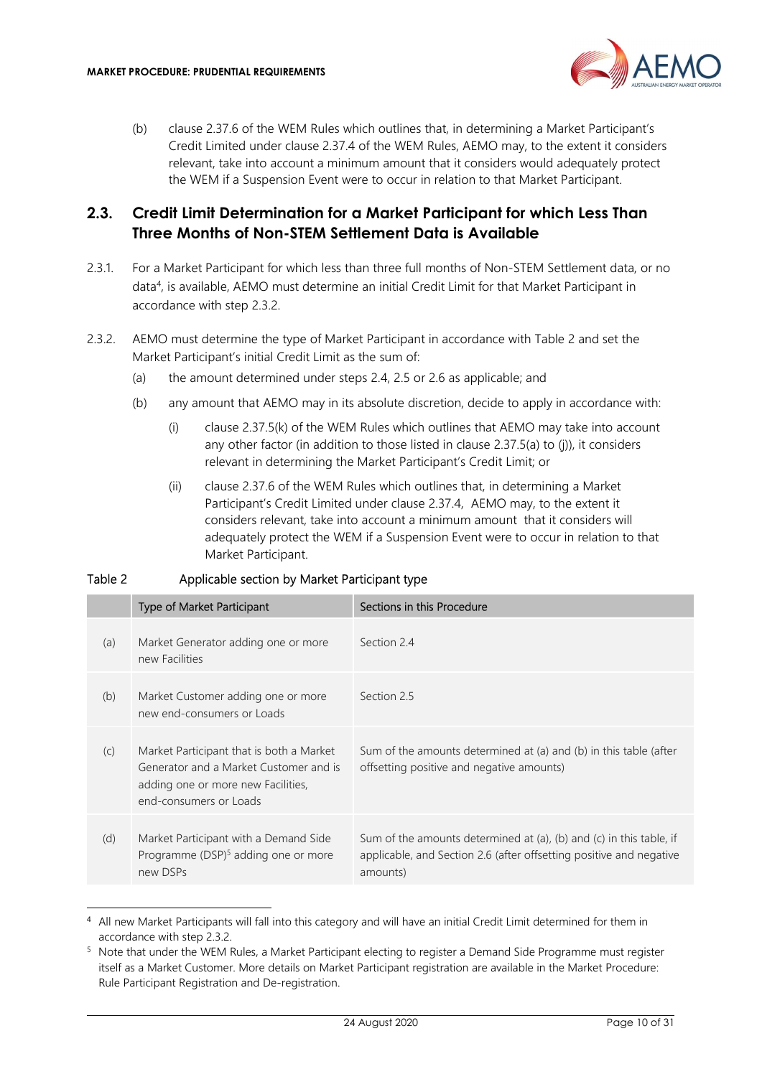

(b) clause 2.37.6 of the WEM Rules which outlines that, in determining a Market Participant's Credit Limited under clause 2.37.4 of the WEM Rules, AEMO may, to the extent it considers relevant, take into account a minimum amount that it considers would adequately protect the WEM if a Suspension Event were to occur in relation to that Market Participant.

## 2.3. Credit Limit Determination for a Market Participant for which Less Than Three Months of Non-STEM Settlement Data is Available

- 2.3.1. For a Market Participant for which less than three full months of Non-STEM Settlement data, or no data<sup>4</sup> , is available, AEMO must determine an initial Credit Limit for that Market Participant in accordance with step 2.3.2.
- 2.3.2. AEMO must determine the type of Market Participant in accordance with Table 2 and set the Market Participant's initial Credit Limit as the sum of:
	- (a) the amount determined under steps 2.4, 2.5 or 2.6 as applicable; and
	- (b) any amount that AEMO may in its absolute discretion, decide to apply in accordance with:
		- (i) clause 2.37.5(k) of the WEM Rules which outlines that AEMO may take into account any other factor (in addition to those listed in clause 2.37.5(a) to (j)), it considers relevant in determining the Market Participant's Credit Limit; or
		- (ii) clause 2.37.6 of the WEM Rules which outlines that, in determining a Market Participant's Credit Limited under clause 2.37.4, AEMO may, to the extent it considers relevant, take into account a minimum amount that it considers will adequately protect the WEM if a Suspension Event were to occur in relation to that Market Participant.

#### Table 2 Applicable section by Market Participant type

|     | Type of Market Participant                                                                                                                         | Sections in this Procedure                                                                                                                             |
|-----|----------------------------------------------------------------------------------------------------------------------------------------------------|--------------------------------------------------------------------------------------------------------------------------------------------------------|
| (a) | Market Generator adding one or more<br>new Facilities                                                                                              | Section 2.4                                                                                                                                            |
| (b) | Market Customer adding one or more<br>new end-consumers or Loads                                                                                   | Section 2.5                                                                                                                                            |
| (C) | Market Participant that is both a Market<br>Generator and a Market Customer and is<br>adding one or more new Facilities,<br>end-consumers or Loads | Sum of the amounts determined at (a) and (b) in this table (after<br>offsetting positive and negative amounts)                                         |
| (d) | Market Participant with a Demand Side<br>Programme (DSP) <sup>5</sup> adding one or more<br>new DSPs                                               | Sum of the amounts determined at (a), (b) and (c) in this table, if<br>applicable, and Section 2.6 (after offsetting positive and negative<br>amounts) |

<sup>4</sup> All new Market Participants will fall into this category and will have an initial Credit Limit determined for them in accordance with step 2.3.2.

<sup>&</sup>lt;sup>5</sup> Note that under the WEM Rules, a Market Participant electing to register a Demand Side Programme must register itself as a Market Customer. More details on Market Participant registration are available in the Market Procedure: Rule Participant Registration and De-registration.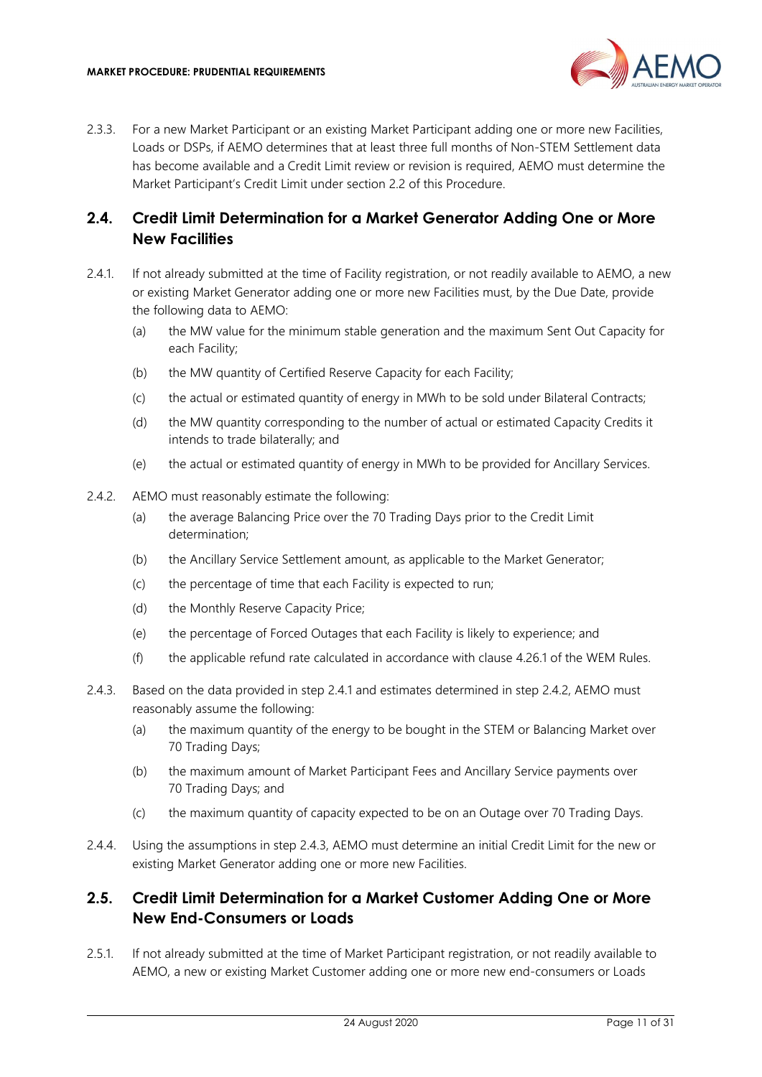

2.3.3. For a new Market Participant or an existing Market Participant adding one or more new Facilities, Loads or DSPs, if AEMO determines that at least three full months of Non-STEM Settlement data has become available and a Credit Limit review or revision is required, AEMO must determine the Market Participant's Credit Limit under section 2.2 of this Procedure.

## 2.4. Credit Limit Determination for a Market Generator Adding One or More New Facilities

- 2.4.1. If not already submitted at the time of Facility registration, or not readily available to AEMO, a new or existing Market Generator adding one or more new Facilities must, by the Due Date, provide the following data to AEMO:
	- (a) the MW value for the minimum stable generation and the maximum Sent Out Capacity for each Facility;
	- (b) the MW quantity of Certified Reserve Capacity for each Facility;
	- (c) the actual or estimated quantity of energy in MWh to be sold under Bilateral Contracts;
	- (d) the MW quantity corresponding to the number of actual or estimated Capacity Credits it intends to trade bilaterally; and
	- (e) the actual or estimated quantity of energy in MWh to be provided for Ancillary Services.
- 2.4.2. AEMO must reasonably estimate the following:
	- (a) the average Balancing Price over the 70 Trading Days prior to the Credit Limit determination;
	- (b) the Ancillary Service Settlement amount, as applicable to the Market Generator;
	- (c) the percentage of time that each Facility is expected to run;
	- (d) the Monthly Reserve Capacity Price;
	- (e) the percentage of Forced Outages that each Facility is likely to experience; and
	- (f) the applicable refund rate calculated in accordance with clause 4.26.1 of the WEM Rules.
- 2.4.3. Based on the data provided in step 2.4.1 and estimates determined in step 2.4.2, AEMO must reasonably assume the following:
	- (a) the maximum quantity of the energy to be bought in the STEM or Balancing Market over 70 Trading Days;
	- (b) the maximum amount of Market Participant Fees and Ancillary Service payments over 70 Trading Days; and
	- (c) the maximum quantity of capacity expected to be on an Outage over 70 Trading Days.
- 2.4.4. Using the assumptions in step 2.4.3, AEMO must determine an initial Credit Limit for the new or existing Market Generator adding one or more new Facilities.

#### 2.5. Credit Limit Determination for a Market Customer Adding One or More New End-Consumers or Loads

2.5.1. If not already submitted at the time of Market Participant registration, or not readily available to AEMO, a new or existing Market Customer adding one or more new end-consumers or Loads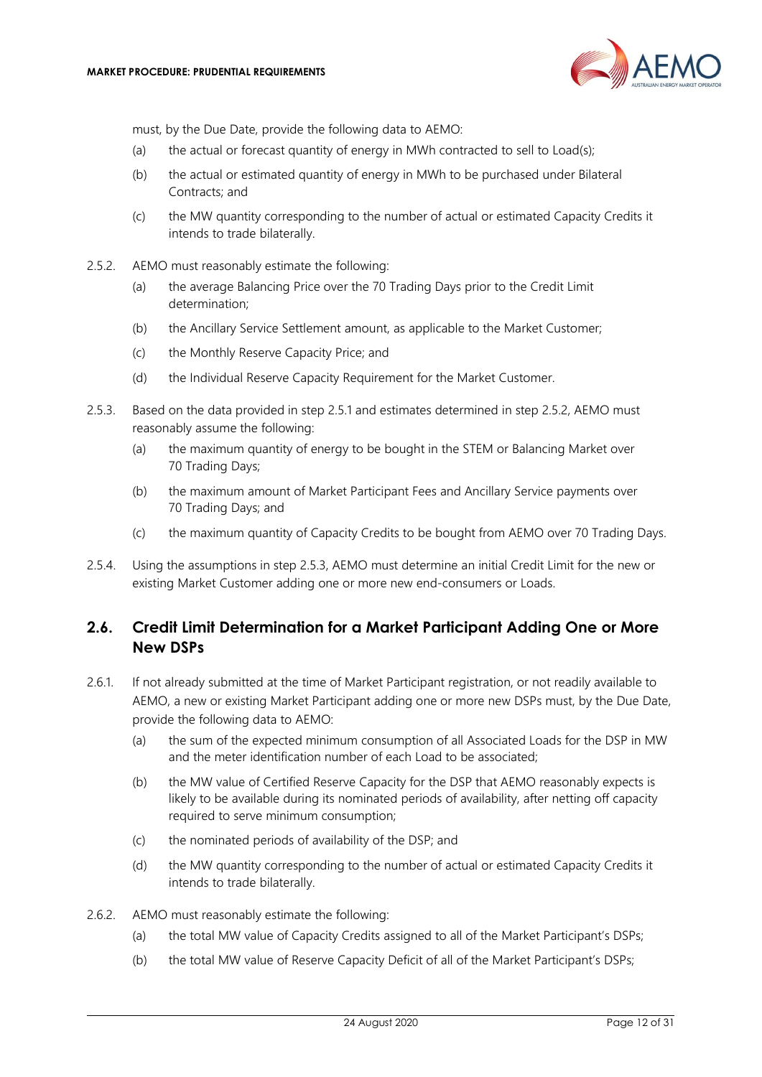

must, by the Due Date, provide the following data to AEMO:

- (a) the actual or forecast quantity of energy in MWh contracted to sell to Load(s);
- (b) the actual or estimated quantity of energy in MWh to be purchased under Bilateral Contracts; and
- (c) the MW quantity corresponding to the number of actual or estimated Capacity Credits it intends to trade bilaterally.
- 2.5.2. AEMO must reasonably estimate the following:
	- (a) the average Balancing Price over the 70 Trading Days prior to the Credit Limit determination;
	- (b) the Ancillary Service Settlement amount, as applicable to the Market Customer;
	- (c) the Monthly Reserve Capacity Price; and
	- (d) the Individual Reserve Capacity Requirement for the Market Customer.
- 2.5.3. Based on the data provided in step 2.5.1 and estimates determined in step 2.5.2, AEMO must reasonably assume the following:
	- (a) the maximum quantity of energy to be bought in the STEM or Balancing Market over 70 Trading Days;
	- (b) the maximum amount of Market Participant Fees and Ancillary Service payments over 70 Trading Days; and
	- (c) the maximum quantity of Capacity Credits to be bought from AEMO over 70 Trading Days.
- 2.5.4. Using the assumptions in step 2.5.3, AEMO must determine an initial Credit Limit for the new or existing Market Customer adding one or more new end-consumers or Loads.

## 2.6. Credit Limit Determination for a Market Participant Adding One or More New DSPs

- 2.6.1. If not already submitted at the time of Market Participant registration, or not readily available to AEMO, a new or existing Market Participant adding one or more new DSPs must, by the Due Date, provide the following data to AEMO:
	- (a) the sum of the expected minimum consumption of all Associated Loads for the DSP in MW and the meter identification number of each Load to be associated;
	- (b) the MW value of Certified Reserve Capacity for the DSP that AEMO reasonably expects is likely to be available during its nominated periods of availability, after netting off capacity required to serve minimum consumption;
	- (c) the nominated periods of availability of the DSP; and
	- (d) the MW quantity corresponding to the number of actual or estimated Capacity Credits it intends to trade bilaterally.
- 2.6.2. AEMO must reasonably estimate the following:
	- (a) the total MW value of Capacity Credits assigned to all of the Market Participant's DSPs;
	- (b) the total MW value of Reserve Capacity Deficit of all of the Market Participant's DSPs;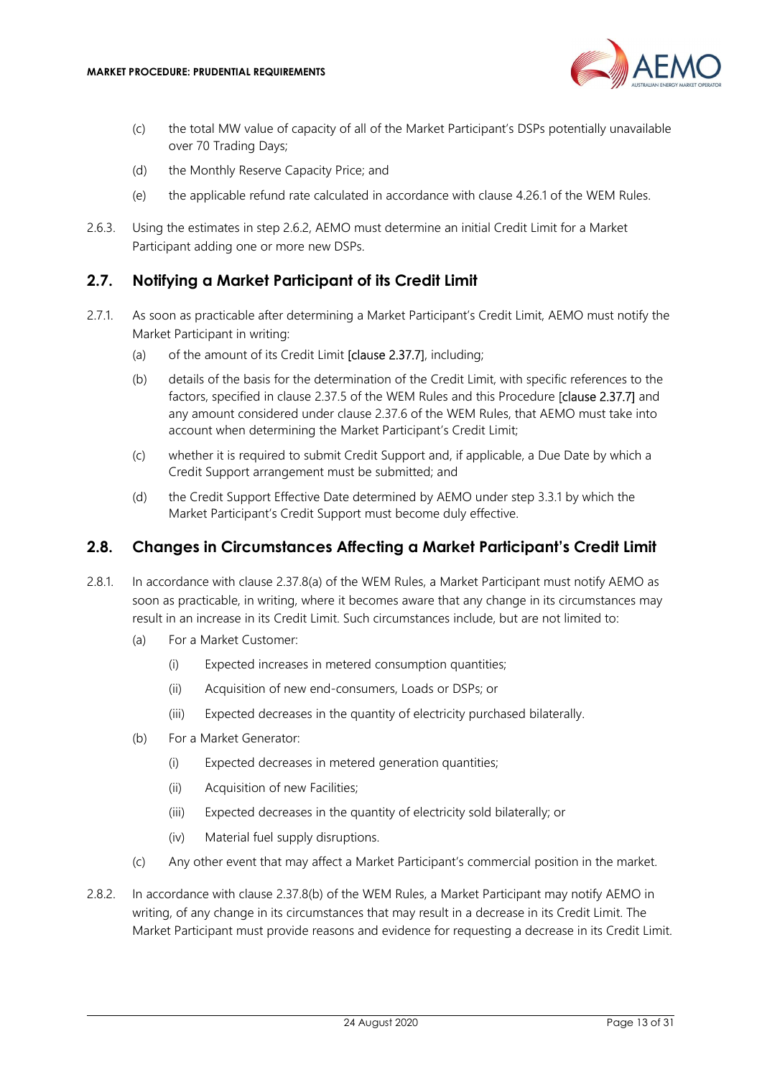

- (c) the total MW value of capacity of all of the Market Participant's DSPs potentially unavailable over 70 Trading Days;
- (d) the Monthly Reserve Capacity Price; and
- (e) the applicable refund rate calculated in accordance with clause 4.26.1 of the WEM Rules.
- 2.6.3. Using the estimates in step 2.6.2, AEMO must determine an initial Credit Limit for a Market Participant adding one or more new DSPs.

#### 2.7. Notifying a Market Participant of its Credit Limit

- 2.7.1. As soon as practicable after determining a Market Participant's Credit Limit, AEMO must notify the Market Participant in writing:
	- (a) of the amount of its Credit Limit [clause 2.37.7], including;
	- (b) details of the basis for the determination of the Credit Limit, with specific references to the factors, specified in clause 2.37.5 of the WEM Rules and this Procedure [clause 2.37.7] and any amount considered under clause 2.37.6 of the WEM Rules, that AEMO must take into account when determining the Market Participant's Credit Limit;
	- (c) whether it is required to submit Credit Support and, if applicable, a Due Date by which a Credit Support arrangement must be submitted; and
	- (d) the Credit Support Effective Date determined by AEMO under step 3.3.1 by which the Market Participant's Credit Support must become duly effective.

#### 2.8. Changes in Circumstances Affecting a Market Participant's Credit Limit

- 2.8.1. In accordance with clause 2.37.8(a) of the WEM Rules, a Market Participant must notify AEMO as soon as practicable, in writing, where it becomes aware that any change in its circumstances may result in an increase in its Credit Limit. Such circumstances include, but are not limited to:
	- (a) For a Market Customer:
		- (i) Expected increases in metered consumption quantities;
		- (ii) Acquisition of new end-consumers, Loads or DSPs; or
		- (iii) Expected decreases in the quantity of electricity purchased bilaterally.
	- (b) For a Market Generator:
		- (i) Expected decreases in metered generation quantities;
		- (ii) Acquisition of new Facilities;
		- (iii) Expected decreases in the quantity of electricity sold bilaterally; or
		- (iv) Material fuel supply disruptions.
	- (c) Any other event that may affect a Market Participant's commercial position in the market.
- 2.8.2. In accordance with clause 2.37.8(b) of the WEM Rules, a Market Participant may notify AEMO in writing, of any change in its circumstances that may result in a decrease in its Credit Limit. The Market Participant must provide reasons and evidence for requesting a decrease in its Credit Limit.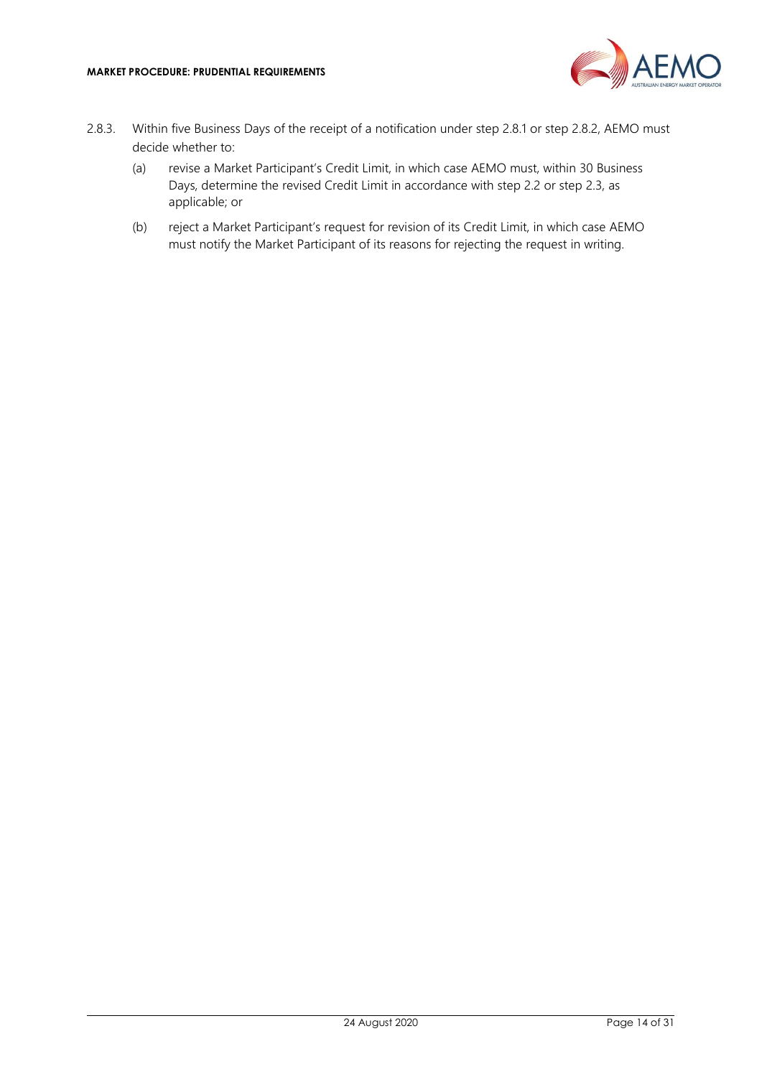

- 2.8.3. Within five Business Days of the receipt of a notification under step 2.8.1 or step 2.8.2, AEMO must decide whether to:
	- (a) revise a Market Participant's Credit Limit, in which case AEMO must, within 30 Business Days, determine the revised Credit Limit in accordance with step 2.2 or step 2.3, as applicable; or
	- (b) reject a Market Participant's request for revision of its Credit Limit, in which case AEMO must notify the Market Participant of its reasons for rejecting the request in writing.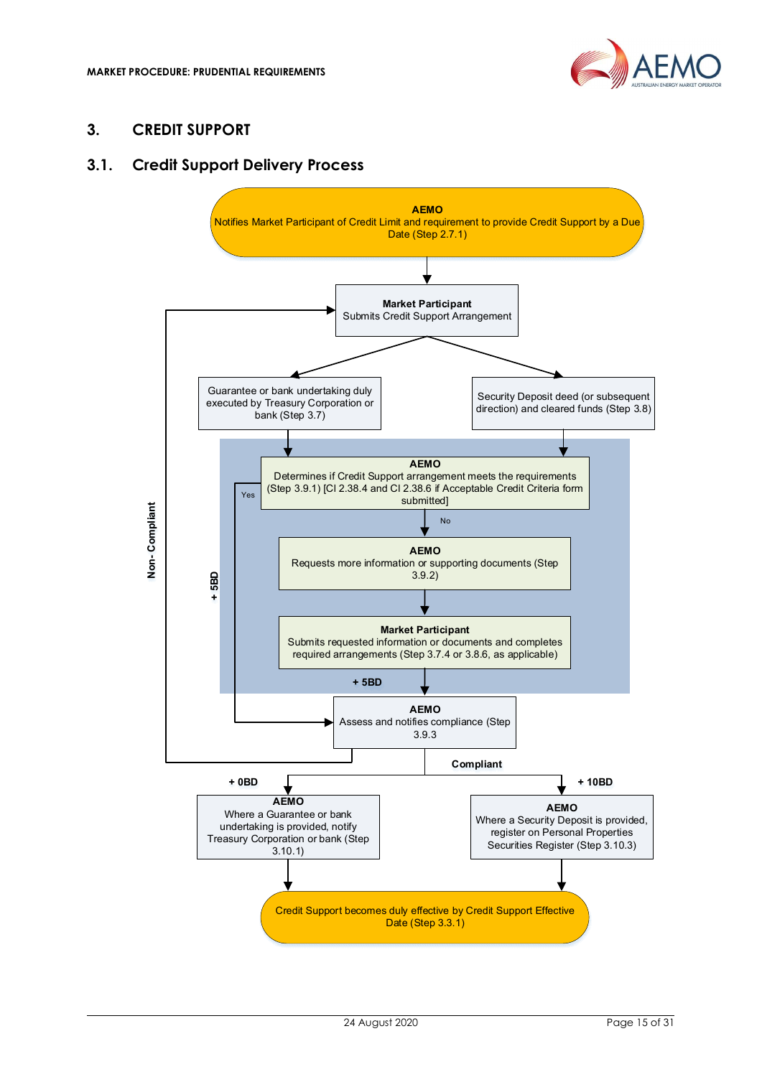

## 3. CREDIT SUPPORT

#### 3.1. Credit Support Delivery Process

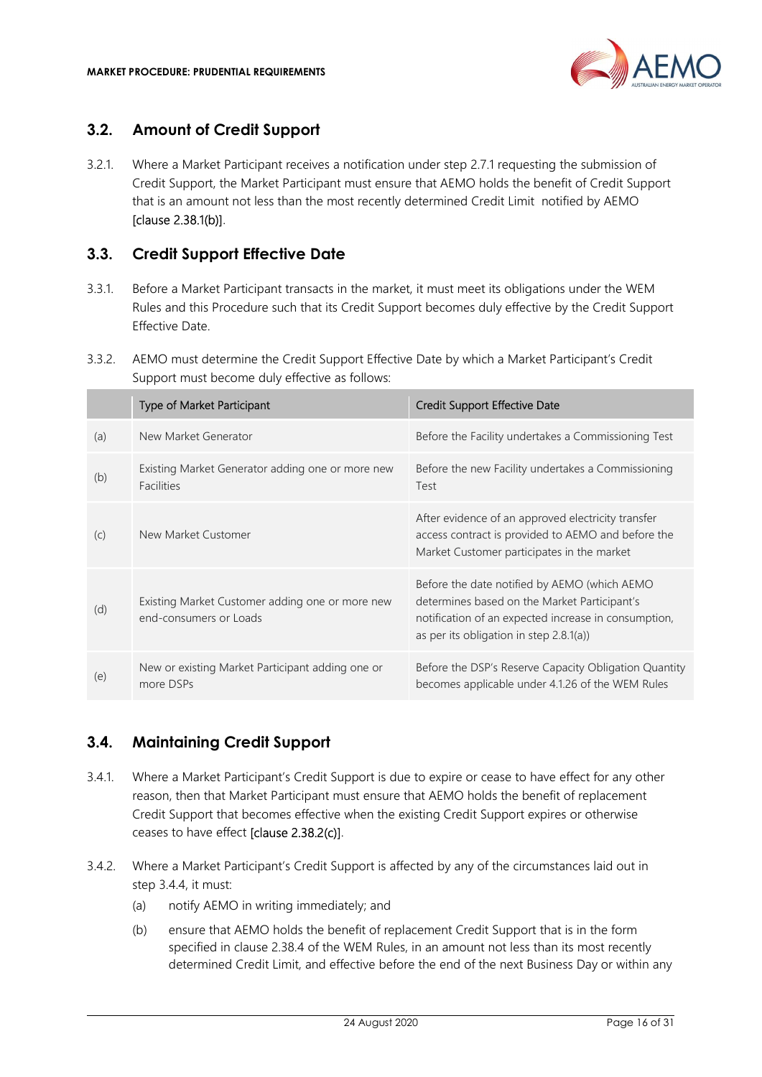

## 3.2. Amount of Credit Support

3.2.1. Where a Market Participant receives a notification under step 2.7.1 requesting the submission of Credit Support, the Market Participant must ensure that AEMO holds the benefit of Credit Support that is an amount not less than the most recently determined Credit Limit notified by AEMO [clause 2.38.1(b)].

## 3.3. Credit Support Effective Date

- 3.3.1. Before a Market Participant transacts in the market, it must meet its obligations under the WEM Rules and this Procedure such that its Credit Support becomes duly effective by the Credit Support Effective Date.
- 3.3.2. AEMO must determine the Credit Support Effective Date by which a Market Participant's Credit Support must become duly effective as follows:

|     | <b>Type of Market Participant</b>                                         | Credit Support Effective Date                                                                                                                                                                      |
|-----|---------------------------------------------------------------------------|----------------------------------------------------------------------------------------------------------------------------------------------------------------------------------------------------|
| (a) | New Market Generator                                                      | Before the Facility undertakes a Commissioning Test                                                                                                                                                |
| (b) | Existing Market Generator adding one or more new<br><b>Facilities</b>     | Before the new Facility undertakes a Commissioning<br>Test                                                                                                                                         |
| (C) | New Market Customer                                                       | After evidence of an approved electricity transfer<br>access contract is provided to AEMO and before the<br>Market Customer participates in the market                                             |
| (d) | Existing Market Customer adding one or more new<br>end-consumers or Loads | Before the date notified by AEMO (which AEMO<br>determines based on the Market Participant's<br>notification of an expected increase in consumption,<br>as per its obligation in step $2.8.1(a)$ ) |
| (e) | New or existing Market Participant adding one or<br>more DSPs             | Before the DSP's Reserve Capacity Obligation Quantity<br>becomes applicable under 4.1.26 of the WEM Rules                                                                                          |

## 3.4. Maintaining Credit Support

- 3.4.1. Where a Market Participant's Credit Support is due to expire or cease to have effect for any other reason, then that Market Participant must ensure that AEMO holds the benefit of replacement Credit Support that becomes effective when the existing Credit Support expires or otherwise ceases to have effect [clause 2.38.2(c)].
- 3.4.2. Where a Market Participant's Credit Support is affected by any of the circumstances laid out in step 3.4.4, it must:
	- (a) notify AEMO in writing immediately; and
	- (b) ensure that AEMO holds the benefit of replacement Credit Support that is in the form specified in clause 2.38.4 of the WEM Rules, in an amount not less than its most recently determined Credit Limit, and effective before the end of the next Business Day or within any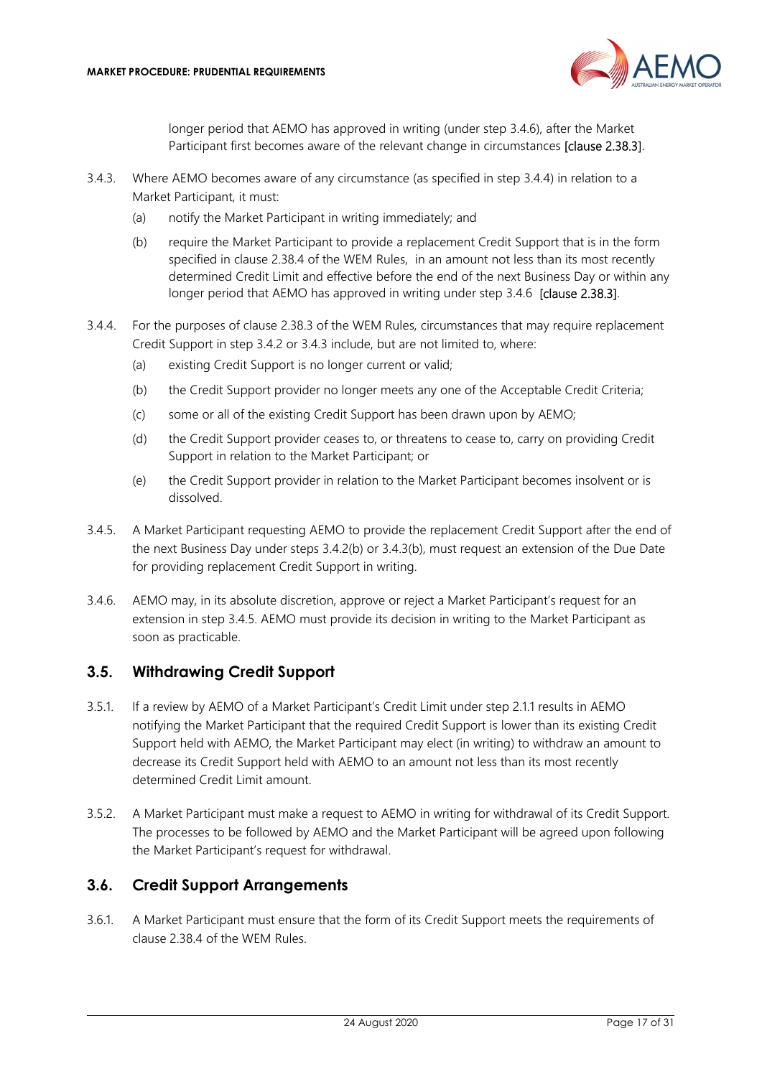

longer period that AEMO has approved in writing (under step 3.4.6), after the Market Participant first becomes aware of the relevant change in circumstances [clause 2.38.3].

- 3.4.3. Where AEMO becomes aware of any circumstance (as specified in step 3.4.4) in relation to a Market Participant, it must:
	- (a) notify the Market Participant in writing immediately; and
	- (b) require the Market Participant to provide a replacement Credit Support that is in the form specified in clause 2.38.4 of the WEM Rules, in an amount not less than its most recently determined Credit Limit and effective before the end of the next Business Day or within any longer period that AEMO has approved in writing under step 3.4.6 [clause 2.38.3].
- 3.4.4. For the purposes of clause 2.38.3 of the WEM Rules, circumstances that may require replacement Credit Support in step 3.4.2 or 3.4.3 include, but are not limited to, where:
	- (a) existing Credit Support is no longer current or valid;
	- (b) the Credit Support provider no longer meets any one of the Acceptable Credit Criteria;
	- (c) some or all of the existing Credit Support has been drawn upon by AEMO;
	- (d) the Credit Support provider ceases to, or threatens to cease to, carry on providing Credit Support in relation to the Market Participant; or
	- (e) the Credit Support provider in relation to the Market Participant becomes insolvent or is dissolved.
- 3.4.5. A Market Participant requesting AEMO to provide the replacement Credit Support after the end of the next Business Day under steps 3.4.2(b) or 3.4.3(b), must request an extension of the Due Date for providing replacement Credit Support in writing.
- 3.4.6. AEMO may, in its absolute discretion, approve or reject a Market Participant's request for an extension in step 3.4.5. AEMO must provide its decision in writing to the Market Participant as soon as practicable.

## 3.5. Withdrawing Credit Support

- 3.5.1. If a review by AEMO of a Market Participant's Credit Limit under step 2.1.1 results in AEMO notifying the Market Participant that the required Credit Support is lower than its existing Credit Support held with AEMO, the Market Participant may elect (in writing) to withdraw an amount to decrease its Credit Support held with AEMO to an amount not less than its most recently determined Credit Limit amount.
- 3.5.2. A Market Participant must make a request to AEMO in writing for withdrawal of its Credit Support. The processes to be followed by AEMO and the Market Participant will be agreed upon following the Market Participant's request for withdrawal.

## 3.6. Credit Support Arrangements

3.6.1. A Market Participant must ensure that the form of its Credit Support meets the requirements of clause 2.38.4 of the WEM Rules.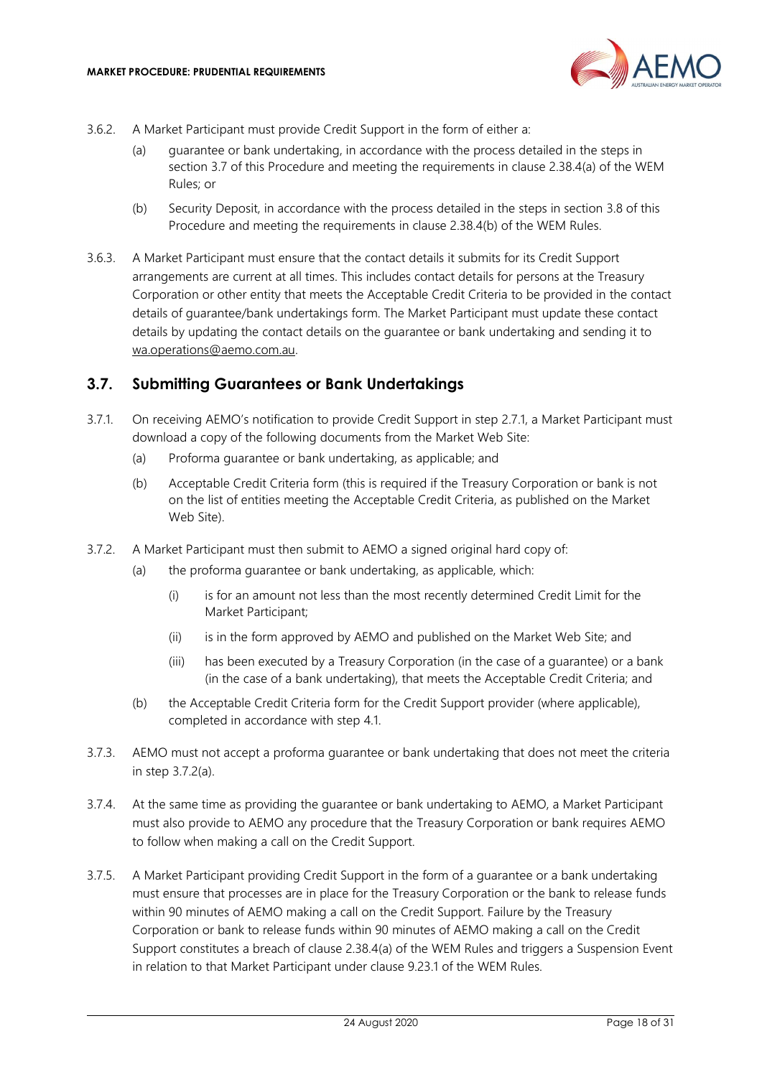

- 3.6.2. A Market Participant must provide Credit Support in the form of either a:
	- (a) guarantee or bank undertaking, in accordance with the process detailed in the steps in section 3.7 of this Procedure and meeting the requirements in clause 2.38.4(a) of the WEM Rules; or
	- (b) Security Deposit, in accordance with the process detailed in the steps in section 3.8 of this Procedure and meeting the requirements in clause 2.38.4(b) of the WEM Rules.
- 3.6.3. A Market Participant must ensure that the contact details it submits for its Credit Support arrangements are current at all times. This includes contact details for persons at the Treasury Corporation or other entity that meets the Acceptable Credit Criteria to be provided in the contact details of guarantee/bank undertakings form. The Market Participant must update these contact details by updating the contact details on the guarantee or bank undertaking and sending it to wa.operations@aemo.com.au.

#### 3.7. Submitting Guarantees or Bank Undertakings

- 3.7.1. On receiving AEMO's notification to provide Credit Support in step 2.7.1, a Market Participant must download a copy of the following documents from the Market Web Site:
	- (a) Proforma guarantee or bank undertaking, as applicable; and
	- (b) Acceptable Credit Criteria form (this is required if the Treasury Corporation or bank is not on the list of entities meeting the Acceptable Credit Criteria, as published on the Market Web Site).
- 3.7.2. A Market Participant must then submit to AEMO a signed original hard copy of:
	- (a) the proforma guarantee or bank undertaking, as applicable, which:
		- (i) is for an amount not less than the most recently determined Credit Limit for the Market Participant;
		- (ii) is in the form approved by AEMO and published on the Market Web Site; and
		- (iii) has been executed by a Treasury Corporation (in the case of a guarantee) or a bank (in the case of a bank undertaking), that meets the Acceptable Credit Criteria; and
	- (b) the Acceptable Credit Criteria form for the Credit Support provider (where applicable), completed in accordance with step 4.1.
- 3.7.3. AEMO must not accept a proforma guarantee or bank undertaking that does not meet the criteria in step 3.7.2(a).
- 3.7.4. At the same time as providing the guarantee or bank undertaking to AEMO, a Market Participant must also provide to AEMO any procedure that the Treasury Corporation or bank requires AEMO to follow when making a call on the Credit Support.
- 3.7.5. A Market Participant providing Credit Support in the form of a guarantee or a bank undertaking must ensure that processes are in place for the Treasury Corporation or the bank to release funds within 90 minutes of AEMO making a call on the Credit Support. Failure by the Treasury Corporation or bank to release funds within 90 minutes of AEMO making a call on the Credit Support constitutes a breach of clause 2.38.4(a) of the WEM Rules and triggers a Suspension Event in relation to that Market Participant under clause 9.23.1 of the WEM Rules.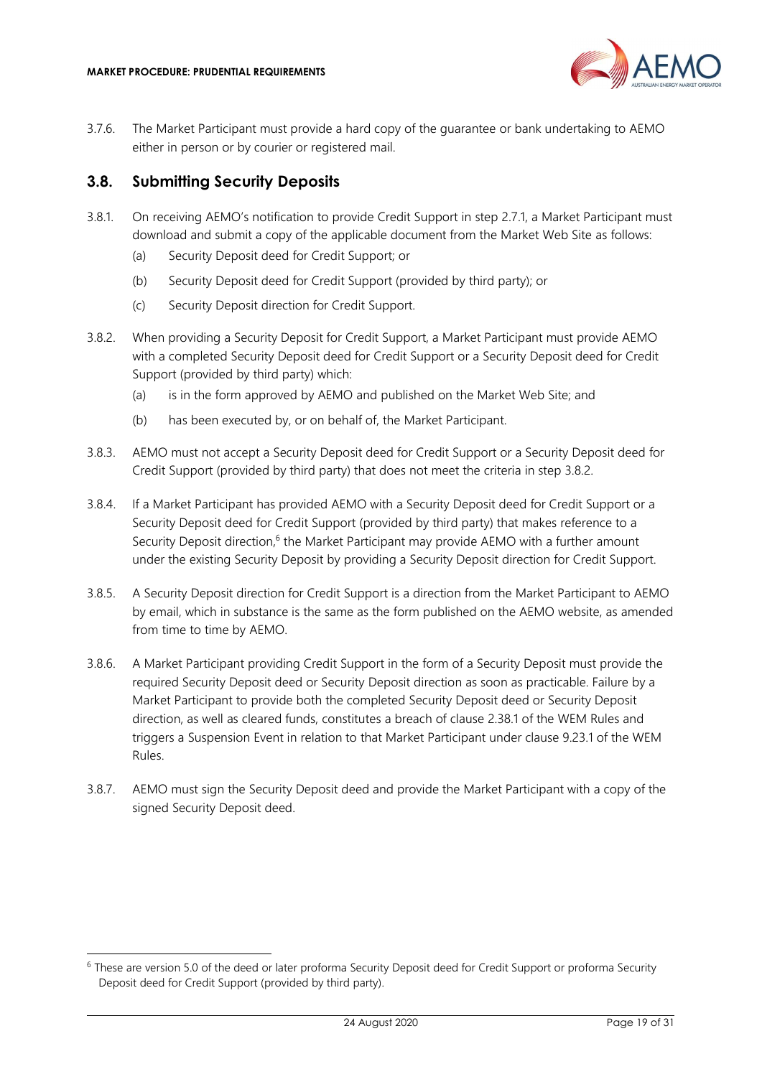

3.7.6. The Market Participant must provide a hard copy of the guarantee or bank undertaking to AEMO either in person or by courier or registered mail.

#### 3.8. Submitting Security Deposits

- 3.8.1. On receiving AEMO's notification to provide Credit Support in step 2.7.1, a Market Participant must download and submit a copy of the applicable document from the Market Web Site as follows:
	- (a) Security Deposit deed for Credit Support; or
	- (b) Security Deposit deed for Credit Support (provided by third party); or
	- (c) Security Deposit direction for Credit Support.
- 3.8.2. When providing a Security Deposit for Credit Support, a Market Participant must provide AEMO with a completed Security Deposit deed for Credit Support or a Security Deposit deed for Credit Support (provided by third party) which:
	- (a) is in the form approved by AEMO and published on the Market Web Site; and
	- (b) has been executed by, or on behalf of, the Market Participant.
- 3.8.3. AEMO must not accept a Security Deposit deed for Credit Support or a Security Deposit deed for Credit Support (provided by third party) that does not meet the criteria in step 3.8.2.
- 3.8.4. If a Market Participant has provided AEMO with a Security Deposit deed for Credit Support or a Security Deposit deed for Credit Support (provided by third party) that makes reference to a Security Deposit direction,<sup>6</sup> the Market Participant may provide AEMO with a further amount under the existing Security Deposit by providing a Security Deposit direction for Credit Support.
- 3.8.5. A Security Deposit direction for Credit Support is a direction from the Market Participant to AEMO by email, which in substance is the same as the form published on the AEMO website, as amended from time to time by AEMO.
- 3.8.6. A Market Participant providing Credit Support in the form of a Security Deposit must provide the required Security Deposit deed or Security Deposit direction as soon as practicable. Failure by a Market Participant to provide both the completed Security Deposit deed or Security Deposit direction, as well as cleared funds, constitutes a breach of clause 2.38.1 of the WEM Rules and triggers a Suspension Event in relation to that Market Participant under clause 9.23.1 of the WEM Rules.
- 3.8.7. AEMO must sign the Security Deposit deed and provide the Market Participant with a copy of the signed Security Deposit deed.

<sup>&</sup>lt;sup>6</sup> These are version 5.0 of the deed or later proforma Security Deposit deed for Credit Support or proforma Security Deposit deed for Credit Support (provided by third party).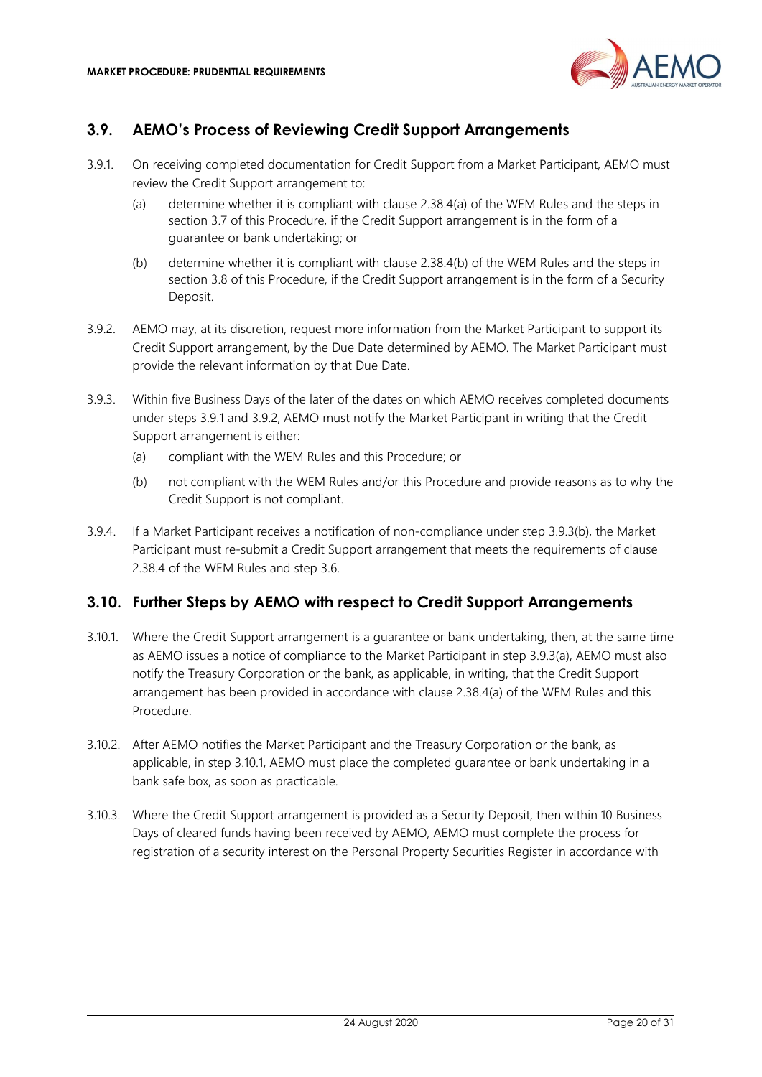

## 3.9. AEMO's Process of Reviewing Credit Support Arrangements

- 3.9.1. On receiving completed documentation for Credit Support from a Market Participant, AEMO must review the Credit Support arrangement to:
	- (a) determine whether it is compliant with clause 2.38.4(a) of the WEM Rules and the steps in section 3.7 of this Procedure, if the Credit Support arrangement is in the form of a guarantee or bank undertaking; or
	- (b) determine whether it is compliant with clause 2.38.4(b) of the WEM Rules and the steps in section 3.8 of this Procedure, if the Credit Support arrangement is in the form of a Security Deposit.
- 3.9.2. AEMO may, at its discretion, request more information from the Market Participant to support its Credit Support arrangement, by the Due Date determined by AEMO. The Market Participant must provide the relevant information by that Due Date.
- 3.9.3. Within five Business Days of the later of the dates on which AEMO receives completed documents under steps 3.9.1 and 3.9.2, AEMO must notify the Market Participant in writing that the Credit Support arrangement is either:
	- (a) compliant with the WEM Rules and this Procedure; or
	- (b) not compliant with the WEM Rules and/or this Procedure and provide reasons as to why the Credit Support is not compliant.
- 3.9.4. If a Market Participant receives a notification of non-compliance under step 3.9.3(b), the Market Participant must re-submit a Credit Support arrangement that meets the requirements of clause 2.38.4 of the WEM Rules and step 3.6.

## 3.10. Further Steps by AEMO with respect to Credit Support Arrangements

- 3.10.1. Where the Credit Support arrangement is a guarantee or bank undertaking, then, at the same time as AEMO issues a notice of compliance to the Market Participant in step 3.9.3(a), AEMO must also notify the Treasury Corporation or the bank, as applicable, in writing, that the Credit Support arrangement has been provided in accordance with clause 2.38.4(a) of the WEM Rules and this Procedure.
- 3.10.2. After AEMO notifies the Market Participant and the Treasury Corporation or the bank, as applicable, in step 3.10.1, AEMO must place the completed guarantee or bank undertaking in a bank safe box, as soon as practicable.
- 3.10.3. Where the Credit Support arrangement is provided as a Security Deposit, then within 10 Business Days of cleared funds having been received by AEMO, AEMO must complete the process for registration of a security interest on the Personal Property Securities Register in accordance with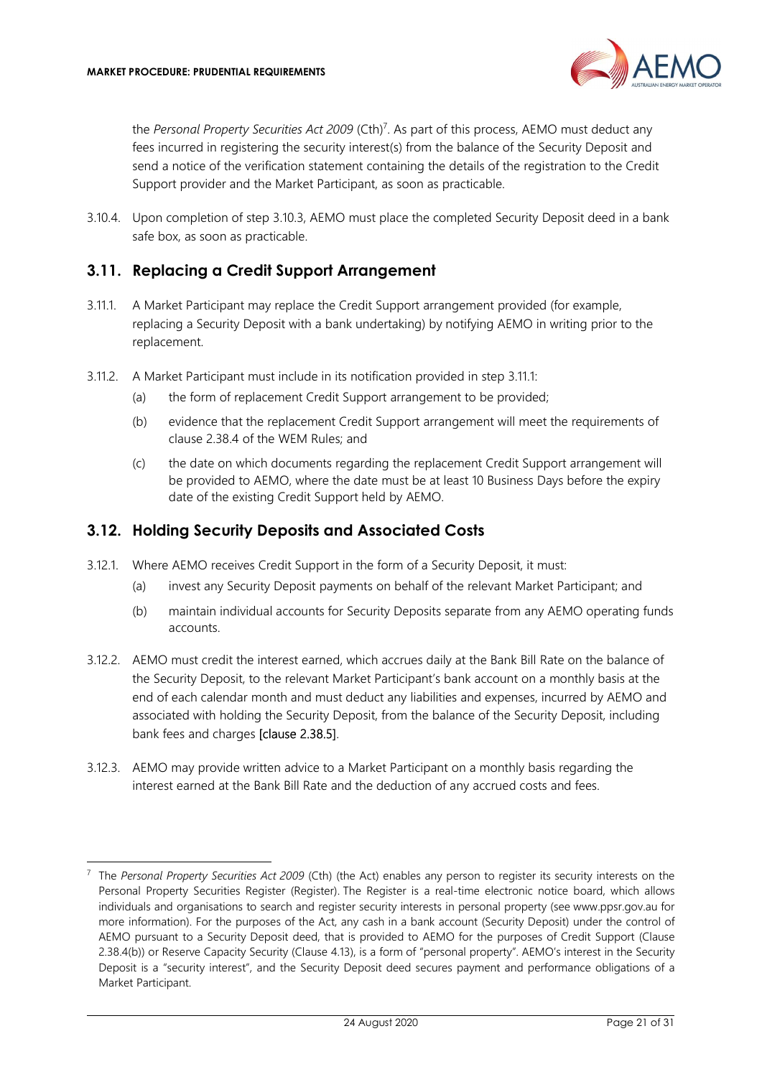

the Personal Property Securities Act 2009 (Cth)<sup>7</sup>. As part of this process, AEMO must deduct any fees incurred in registering the security interest(s) from the balance of the Security Deposit and send a notice of the verification statement containing the details of the registration to the Credit Support provider and the Market Participant, as soon as practicable.

3.10.4. Upon completion of step 3.10.3, AEMO must place the completed Security Deposit deed in a bank safe box, as soon as practicable.

#### 3.11. Replacing a Credit Support Arrangement

- 3.11.1. A Market Participant may replace the Credit Support arrangement provided (for example, replacing a Security Deposit with a bank undertaking) by notifying AEMO in writing prior to the replacement.
- 3.11.2. A Market Participant must include in its notification provided in step 3.11.1:
	- (a) the form of replacement Credit Support arrangement to be provided;
	- (b) evidence that the replacement Credit Support arrangement will meet the requirements of clause 2.38.4 of the WEM Rules; and
	- (c) the date on which documents regarding the replacement Credit Support arrangement will be provided to AEMO, where the date must be at least 10 Business Days before the expiry date of the existing Credit Support held by AEMO.

#### 3.12. Holding Security Deposits and Associated Costs

- 3.12.1. Where AEMO receives Credit Support in the form of a Security Deposit, it must:
	- (a) invest any Security Deposit payments on behalf of the relevant Market Participant; and
	- (b) maintain individual accounts for Security Deposits separate from any AEMO operating funds accounts.
- 3.12.2. AEMO must credit the interest earned, which accrues daily at the Bank Bill Rate on the balance of the Security Deposit, to the relevant Market Participant's bank account on a monthly basis at the end of each calendar month and must deduct any liabilities and expenses, incurred by AEMO and associated with holding the Security Deposit, from the balance of the Security Deposit, including bank fees and charges [clause 2.38.5].
- 3.12.3. AEMO may provide written advice to a Market Participant on a monthly basis regarding the interest earned at the Bank Bill Rate and the deduction of any accrued costs and fees.

 $7$  The Personal Property Securities Act 2009 (Cth) (the Act) enables any person to register its security interests on the Personal Property Securities Register (Register). The Register is a real-time electronic notice board, which allows individuals and organisations to search and register security interests in personal property (see www.ppsr.gov.au for more information). For the purposes of the Act, any cash in a bank account (Security Deposit) under the control of AEMO pursuant to a Security Deposit deed, that is provided to AEMO for the purposes of Credit Support (Clause 2.38.4(b)) or Reserve Capacity Security (Clause 4.13), is a form of "personal property". AEMO's interest in the Security Deposit is a "security interest", and the Security Deposit deed secures payment and performance obligations of a Market Participant.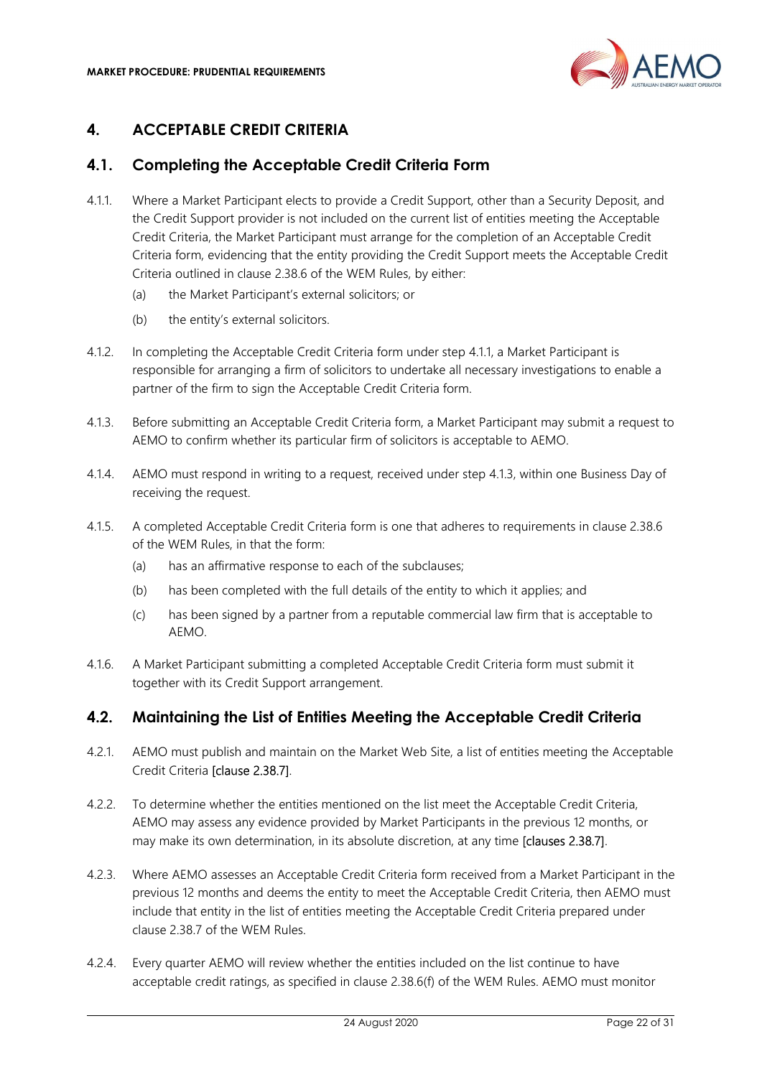

# 4. ACCEPTABLE CREDIT CRITERIA

# 4.1. Completing the Acceptable Credit Criteria Form

- 4.1.1. Where a Market Participant elects to provide a Credit Support, other than a Security Deposit, and the Credit Support provider is not included on the current list of entities meeting the Acceptable Credit Criteria, the Market Participant must arrange for the completion of an Acceptable Credit Criteria form, evidencing that the entity providing the Credit Support meets the Acceptable Credit Criteria outlined in clause 2.38.6 of the WEM Rules, by either:
	- (a) the Market Participant's external solicitors; or
	- (b) the entity's external solicitors.
- 4.1.2. In completing the Acceptable Credit Criteria form under step 4.1.1, a Market Participant is responsible for arranging a firm of solicitors to undertake all necessary investigations to enable a partner of the firm to sign the Acceptable Credit Criteria form.
- 4.1.3. Before submitting an Acceptable Credit Criteria form, a Market Participant may submit a request to AEMO to confirm whether its particular firm of solicitors is acceptable to AEMO.
- 4.1.4. AEMO must respond in writing to a request, received under step 4.1.3, within one Business Day of receiving the request.
- 4.1.5. A completed Acceptable Credit Criteria form is one that adheres to requirements in clause 2.38.6 of the WEM Rules, in that the form:
	- (a) has an affirmative response to each of the subclauses;
	- (b) has been completed with the full details of the entity to which it applies; and
	- (c) has been signed by a partner from a reputable commercial law firm that is acceptable to AEMO.
- 4.1.6. A Market Participant submitting a completed Acceptable Credit Criteria form must submit it together with its Credit Support arrangement.

## 4.2. Maintaining the List of Entities Meeting the Acceptable Credit Criteria

- 4.2.1. AEMO must publish and maintain on the Market Web Site, a list of entities meeting the Acceptable Credit Criteria [clause 2.38.7].
- 4.2.2. To determine whether the entities mentioned on the list meet the Acceptable Credit Criteria, AEMO may assess any evidence provided by Market Participants in the previous 12 months, or may make its own determination, in its absolute discretion, at any time **[clauses 2.38.7]**.
- 4.2.3. Where AEMO assesses an Acceptable Credit Criteria form received from a Market Participant in the previous 12 months and deems the entity to meet the Acceptable Credit Criteria, then AEMO must include that entity in the list of entities meeting the Acceptable Credit Criteria prepared under clause 2.38.7 of the WEM Rules.
- 4.2.4. Every quarter AEMO will review whether the entities included on the list continue to have acceptable credit ratings, as specified in clause 2.38.6(f) of the WEM Rules. AEMO must monitor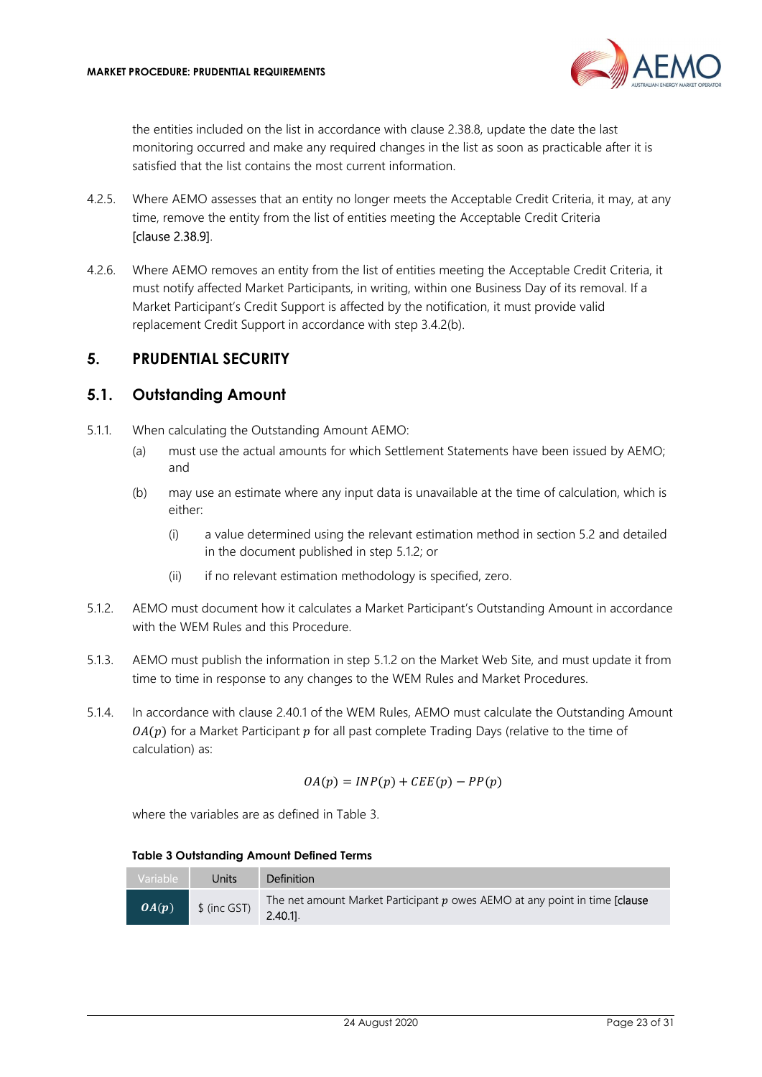

the entities included on the list in accordance with clause 2.38.8, update the date the last monitoring occurred and make any required changes in the list as soon as practicable after it is satisfied that the list contains the most current information.

- 4.2.5. Where AEMO assesses that an entity no longer meets the Acceptable Credit Criteria, it may, at any time, remove the entity from the list of entities meeting the Acceptable Credit Criteria [clause 2.38.9].
- 4.2.6. Where AEMO removes an entity from the list of entities meeting the Acceptable Credit Criteria, it must notify affected Market Participants, in writing, within one Business Day of its removal. If a Market Participant's Credit Support is affected by the notification, it must provide valid replacement Credit Support in accordance with step 3.4.2(b).

## 5. PRUDENTIAL SECURITY

#### 5.1. Outstanding Amount

- 5.1.1. When calculating the Outstanding Amount AEMO:
	- (a) must use the actual amounts for which Settlement Statements have been issued by AEMO; and
	- (b) may use an estimate where any input data is unavailable at the time of calculation, which is either:
		- (i) a value determined using the relevant estimation method in section 5.2 and detailed in the document published in step 5.1.2; or
		- (ii) if no relevant estimation methodology is specified, zero.
- 5.1.2. AEMO must document how it calculates a Market Participant's Outstanding Amount in accordance with the WEM Rules and this Procedure.
- 5.1.3. AEMO must publish the information in step 5.1.2 on the Market Web Site, and must update it from time to time in response to any changes to the WEM Rules and Market Procedures.
- 5.1.4. In accordance with clause 2.40.1 of the WEM Rules, AEMO must calculate the Outstanding Amount  $O(A(p))$  for a Market Participant  $p$  for all past complete Trading Days (relative to the time of calculation) as:

$$
OA(p) = INP(p) + CEE(p) - PP(p)
$$

where the variables are as defined in Table 3.

Table 3 Outstanding Amount Defined Terms

| Variable | Units        | <b>Definition</b>                                                                           |
|----------|--------------|---------------------------------------------------------------------------------------------|
| OA(p)    | \$ (inc GST) | The net amount Market Participant $p$ owes AEMO at any point in time [clause]<br>$2.40.1$ . |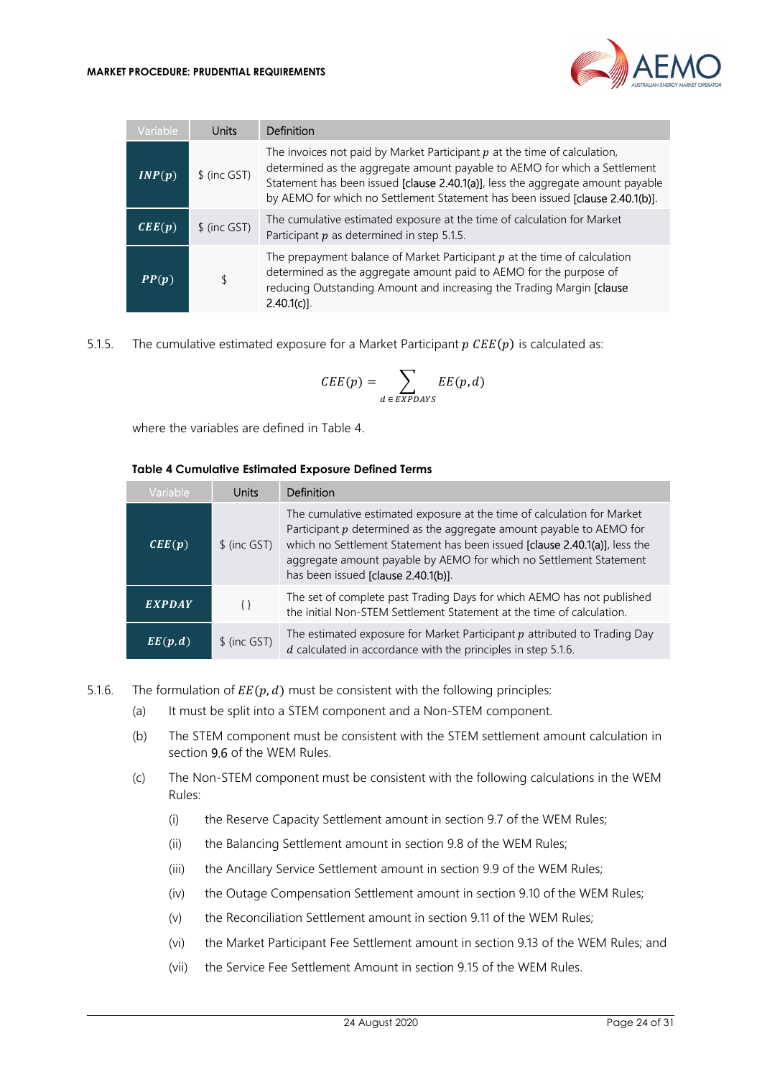

| Variable                   | Units         | Definition                                                                                                                                                                                                                                                                                                                   |
|----------------------------|---------------|------------------------------------------------------------------------------------------------------------------------------------------------------------------------------------------------------------------------------------------------------------------------------------------------------------------------------|
| INP(p)                     | \$ (inc GST)  | The invoices not paid by Market Participant $p$ at the time of calculation,<br>determined as the aggregate amount payable to AEMO for which a Settlement<br>Statement has been issued [clause 2.40.1(a)], less the aggregate amount payable<br>by AEMO for which no Settlement Statement has been issued [clause 2.40.1(b)]. |
| $\mathbf{CEE}(\mathbf{p})$ | $$$ (inc GST) | The cumulative estimated exposure at the time of calculation for Market<br>Participant $p$ as determined in step 5.1.5.                                                                                                                                                                                                      |
| PP(p)                      |               | The prepayment balance of Market Participant $p$ at the time of calculation<br>determined as the aggregate amount paid to AEMO for the purpose of<br>reducing Outstanding Amount and increasing the Trading Margin [clause<br>$2.40.1(c)$ ].                                                                                 |

5.1.5. The cumulative estimated exposure for a Market Participant  $p \text{ } CEE(p)$  is calculated as:

$$
CEE(p) = \sum_{d \in EXPDAYS} EE(p, d)
$$

where the variables are defined in Table 4.

#### Table 4 Cumulative Estimated Exposure Defined Terms

| <b>Variable</b>      | <b>Units</b>  | Definition                                                                                                                                                                                                                                                                                                                                   |
|----------------------|---------------|----------------------------------------------------------------------------------------------------------------------------------------------------------------------------------------------------------------------------------------------------------------------------------------------------------------------------------------------|
| CEE(p)               | $$$ (inc GST) | The cumulative estimated exposure at the time of calculation for Market<br>Participant $p$ determined as the aggregate amount payable to AEMO for<br>which no Settlement Statement has been issued [clause 2.40.1(a)], less the<br>aggregate amount payable by AEMO for which no Settlement Statement<br>has been issued [clause 2.40.1(b)]. |
| <b>EXPDAY</b>        | $\{\}$        | The set of complete past Trading Days for which AEMO has not published<br>the initial Non-STEM Settlement Statement at the time of calculation.                                                                                                                                                                                              |
| $EE(\overline{p},d)$ | $$$ (inc GST) | The estimated exposure for Market Participant $p$ attributed to Trading Day<br>$d$ calculated in accordance with the principles in step 5.1.6.                                                                                                                                                                                               |

- 5.1.6. The formulation of  $EE(p, d)$  must be consistent with the following principles:
	- (a) It must be split into a STEM component and a Non-STEM component.
	- (b) The STEM component must be consistent with the STEM settlement amount calculation in section 9.6 of the WEM Rules.
	- (c) The Non-STEM component must be consistent with the following calculations in the WEM Rules:
		- (i) the Reserve Capacity Settlement amount in section 9.7 of the WEM Rules;
		- (ii) the Balancing Settlement amount in section 9.8 of the WEM Rules;
		- (iii) the Ancillary Service Settlement amount in section 9.9 of the WEM Rules;
		- (iv) the Outage Compensation Settlement amount in section 9.10 of the WEM Rules;
		- (v) the Reconciliation Settlement amount in section 9.11 of the WEM Rules;
		- (vi) the Market Participant Fee Settlement amount in section 9.13 of the WEM Rules; and
		- (vii) the Service Fee Settlement Amount in section 9.15 of the WEM Rules.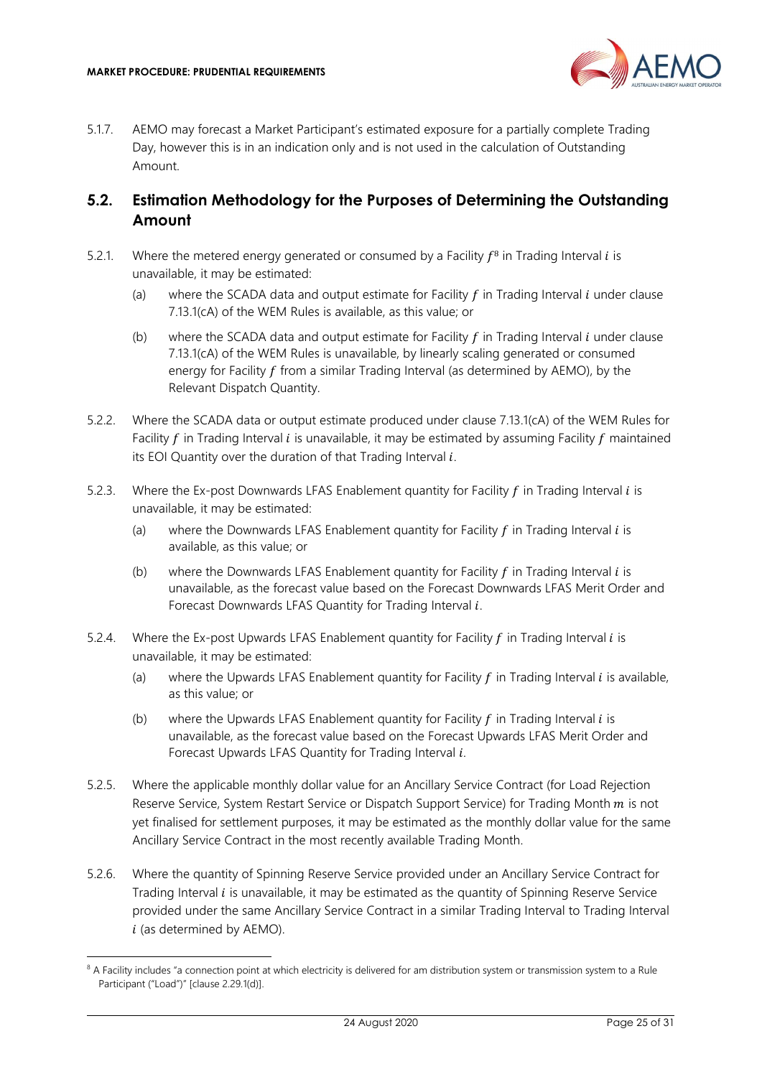

5.1.7. AEMO may forecast a Market Participant's estimated exposure for a partially complete Trading Day, however this is in an indication only and is not used in the calculation of Outstanding Amount.

## 5.2. Estimation Methodology for the Purposes of Determining the Outstanding Amount

- 5.2.1. Where the metered energy generated or consumed by a Facility  $f^8$  in Trading Interval *i* is unavailable, it may be estimated:
	- (a) where the SCADA data and output estimate for Facility  $f$  in Trading Interval  $i$  under clause 7.13.1(cA) of the WEM Rules is available, as this value; or
	- (b) where the SCADA data and output estimate for Facility  $f$  in Trading Interval  $i$  under clause 7.13.1(cA) of the WEM Rules is unavailable, by linearly scaling generated or consumed energy for Facility  $f$  from a similar Trading Interval (as determined by AEMO), by the Relevant Dispatch Quantity.
- 5.2.2. Where the SCADA data or output estimate produced under clause 7.13.1(cA) of the WEM Rules for Facility  $f$  in Trading Interval  $i$  is unavailable, it may be estimated by assuming Facility  $f$  maintained its EOI Quantity over the duration of that Trading Interval  $i$ .
- 5.2.3. Where the Ex-post Downwards LFAS Enablement quantity for Facility  $f$  in Trading Interval  $i$  is unavailable, it may be estimated:
	- (a) where the Downwards LFAS Enablement quantity for Facility  $f$  in Trading Interval  $i$  is available, as this value; or
	- (b) where the Downwards LFAS Enablement quantity for Facility  $f$  in Trading Interval  $i$  is unavailable, as the forecast value based on the Forecast Downwards LFAS Merit Order and Forecast Downwards LFAS Quantity for Trading Interval  $i$ .
- 5.2.4. Where the Ex-post Upwards LFAS Enablement quantity for Facility  $f$  in Trading Interval  $i$  is unavailable, it may be estimated:
	- (a) where the Upwards LFAS Enablement quantity for Facility  $f$  in Trading Interval  $i$  is available, as this value; or
	- (b) where the Upwards LFAS Enablement quantity for Facility  $f$  in Trading Interval  $i$  is unavailable, as the forecast value based on the Forecast Upwards LFAS Merit Order and Forecast Upwards LFAS Quantity for Trading Interval i.
- 5.2.5. Where the applicable monthly dollar value for an Ancillary Service Contract (for Load Rejection Reserve Service, System Restart Service or Dispatch Support Service) for Trading Month  $m$  is not yet finalised for settlement purposes, it may be estimated as the monthly dollar value for the same Ancillary Service Contract in the most recently available Trading Month.
- 5.2.6. Where the quantity of Spinning Reserve Service provided under an Ancillary Service Contract for Trading Interval  $i$  is unavailable, it may be estimated as the quantity of Spinning Reserve Service provided under the same Ancillary Service Contract in a similar Trading Interval to Trading Interval  $i$  (as determined by AEMO).

<sup>&</sup>lt;sup>8</sup> A Facility includes "a connection point at which electricity is delivered for am distribution system or transmission system to a Rule Participant ("Load")" [clause 2.29.1(d)].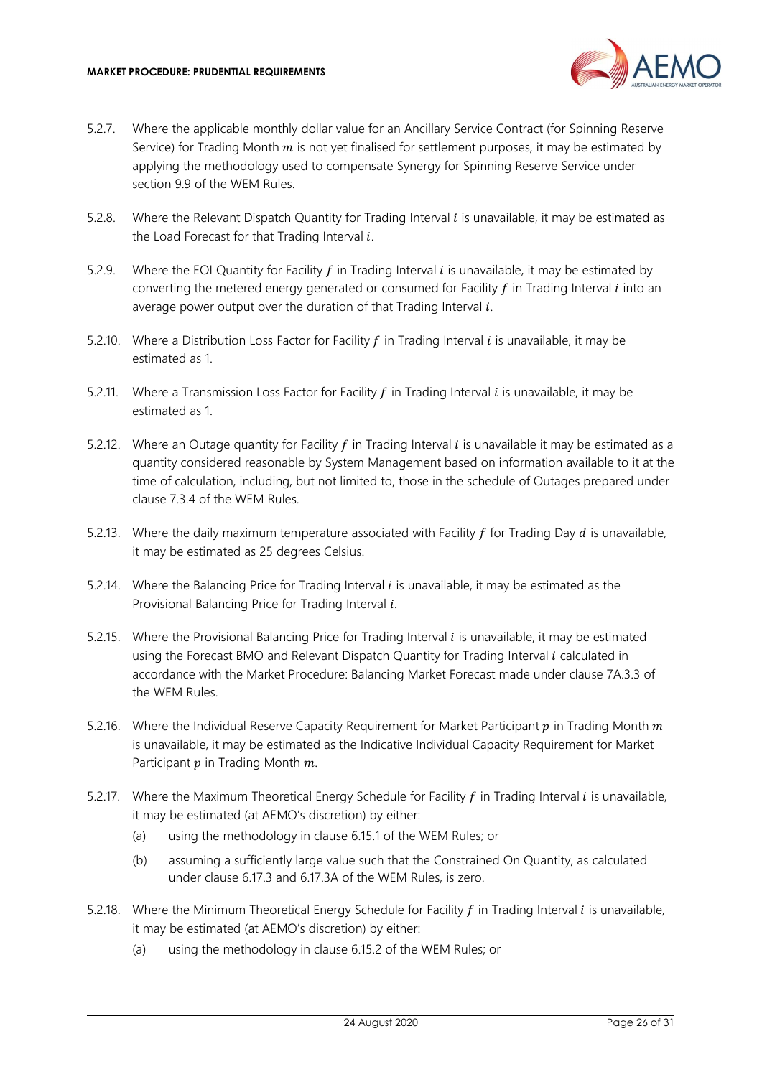

- 5.2.7. Where the applicable monthly dollar value for an Ancillary Service Contract (for Spinning Reserve Service) for Trading Month  $m$  is not yet finalised for settlement purposes, it may be estimated by applying the methodology used to compensate Synergy for Spinning Reserve Service under section 9.9 of the WEM Rules.
- 5.2.8. Where the Relevant Dispatch Quantity for Trading Interval  $i$  is unavailable, it may be estimated as the Load Forecast for that Trading Interval  $i$ .
- 5.2.9. Where the EOI Quantity for Facility  $f$  in Trading Interval  $i$  is unavailable, it may be estimated by converting the metered energy generated or consumed for Facility  $f$  in Trading Interval  $i$  into an average power output over the duration of that Trading Interval  $i$ .
- 5.2.10. Where a Distribution Loss Factor for Facility  $f$  in Trading Interval  $i$  is unavailable, it may be estimated as 1.
- 5.2.11. Where a Transmission Loss Factor for Facility  $f$  in Trading Interval  $i$  is unavailable, it may be estimated as 1.
- 5.2.12. Where an Outage quantity for Facility  $f$  in Trading Interval  $i$  is unavailable it may be estimated as a quantity considered reasonable by System Management based on information available to it at the time of calculation, including, but not limited to, those in the schedule of Outages prepared under clause 7.3.4 of the WEM Rules.
- 5.2.13. Where the daily maximum temperature associated with Facility  $f$  for Trading Day  $d$  is unavailable, it may be estimated as 25 degrees Celsius.
- 5.2.14. Where the Balancing Price for Trading Interval  $i$  is unavailable, it may be estimated as the Provisional Balancing Price for Trading Interval  $i$ .
- 5.2.15. Where the Provisional Balancing Price for Trading Interval  $i$  is unavailable, it may be estimated using the Forecast BMO and Relevant Dispatch Quantity for Trading Interval  $i$  calculated in accordance with the Market Procedure: Balancing Market Forecast made under clause 7A.3.3 of the WEM Rules.
- 5.2.16. Where the Individual Reserve Capacity Requirement for Market Participant  $p$  in Trading Month  $m$ is unavailable, it may be estimated as the Indicative Individual Capacity Requirement for Market Participant  $p$  in Trading Month  $m$ .
- 5.2.17. Where the Maximum Theoretical Energy Schedule for Facility  $f$  in Trading Interval  $i$  is unavailable, it may be estimated (at AEMO's discretion) by either:
	- (a) using the methodology in clause 6.15.1 of the WEM Rules; or
	- (b) assuming a sufficiently large value such that the Constrained On Quantity, as calculated under clause 6.17.3 and 6.17.3A of the WEM Rules, is zero.
- 5.2.18. Where the Minimum Theoretical Energy Schedule for Facility  $f$  in Trading Interval  $i$  is unavailable, it may be estimated (at AEMO's discretion) by either:
	- (a) using the methodology in clause 6.15.2 of the WEM Rules; or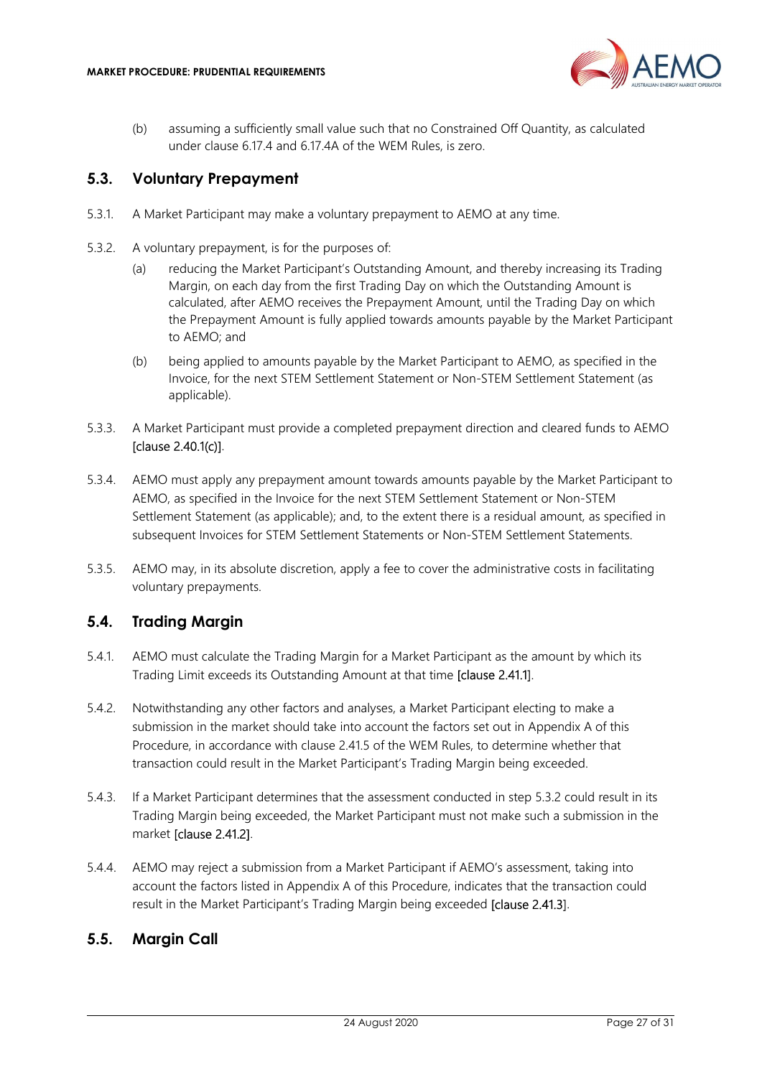

(b) assuming a sufficiently small value such that no Constrained Off Quantity, as calculated under clause 6.17.4 and 6.17.4A of the WEM Rules, is zero.

#### 5.3. Voluntary Prepayment

- 5.3.1. A Market Participant may make a voluntary prepayment to AEMO at any time.
- 5.3.2. A voluntary prepayment, is for the purposes of:
	- (a) reducing the Market Participant's Outstanding Amount, and thereby increasing its Trading Margin, on each day from the first Trading Day on which the Outstanding Amount is calculated, after AEMO receives the Prepayment Amount, until the Trading Day on which the Prepayment Amount is fully applied towards amounts payable by the Market Participant to AEMO; and
	- (b) being applied to amounts payable by the Market Participant to AEMO, as specified in the Invoice, for the next STEM Settlement Statement or Non-STEM Settlement Statement (as applicable).
- 5.3.3. A Market Participant must provide a completed prepayment direction and cleared funds to AEMO [clause 2.40.1(c)].
- 5.3.4. AEMO must apply any prepayment amount towards amounts payable by the Market Participant to AEMO, as specified in the Invoice for the next STEM Settlement Statement or Non-STEM Settlement Statement (as applicable); and, to the extent there is a residual amount, as specified in subsequent Invoices for STEM Settlement Statements or Non-STEM Settlement Statements.
- 5.3.5. AEMO may, in its absolute discretion, apply a fee to cover the administrative costs in facilitating voluntary prepayments.

#### 5.4. Trading Margin

- 5.4.1. AEMO must calculate the Trading Margin for a Market Participant as the amount by which its Trading Limit exceeds its Outstanding Amount at that time [clause 2.41.1].
- 5.4.2. Notwithstanding any other factors and analyses, a Market Participant electing to make a submission in the market should take into account the factors set out in Appendix A of this Procedure, in accordance with clause 2.41.5 of the WEM Rules, to determine whether that transaction could result in the Market Participant's Trading Margin being exceeded.
- 5.4.3. If a Market Participant determines that the assessment conducted in step 5.3.2 could result in its Trading Margin being exceeded, the Market Participant must not make such a submission in the market [clause 2.41.2].
- 5.4.4. AEMO may reject a submission from a Market Participant if AEMO's assessment, taking into account the factors listed in Appendix A of this Procedure, indicates that the transaction could result in the Market Participant's Trading Margin being exceeded [clause 2.41.3].

#### 5.5. Margin Call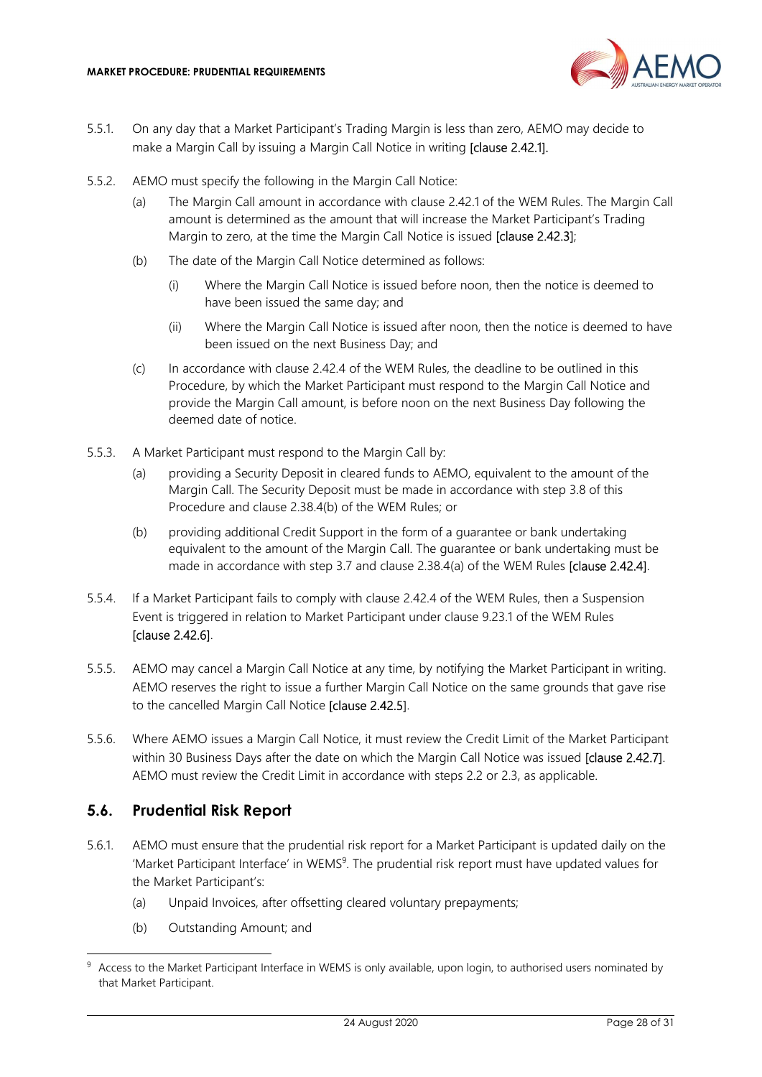

- 5.5.1. On any day that a Market Participant's Trading Margin is less than zero, AEMO may decide to make a Margin Call by issuing a Margin Call Notice in writing **[clause 2.42.1]**.
- 5.5.2. AEMO must specify the following in the Margin Call Notice:
	- (a) The Margin Call amount in accordance with clause 2.42.1 of the WEM Rules. The Margin Call amount is determined as the amount that will increase the Market Participant's Trading Margin to zero, at the time the Margin Call Notice is issued **[clause 2.42.3]**;
	- (b) The date of the Margin Call Notice determined as follows:
		- (i) Where the Margin Call Notice is issued before noon, then the notice is deemed to have been issued the same day; and
		- (ii) Where the Margin Call Notice is issued after noon, then the notice is deemed to have been issued on the next Business Day; and
	- (c) In accordance with clause 2.42.4 of the WEM Rules, the deadline to be outlined in this Procedure, by which the Market Participant must respond to the Margin Call Notice and provide the Margin Call amount, is before noon on the next Business Day following the deemed date of notice.
- 5.5.3. A Market Participant must respond to the Margin Call by:
	- (a) providing a Security Deposit in cleared funds to AEMO, equivalent to the amount of the Margin Call. The Security Deposit must be made in accordance with step 3.8 of this Procedure and clause 2.38.4(b) of the WEM Rules; or
	- (b) providing additional Credit Support in the form of a guarantee or bank undertaking equivalent to the amount of the Margin Call. The guarantee or bank undertaking must be made in accordance with step 3.7 and clause 2.38.4(a) of the WEM Rules [clause 2.42.4].
- 5.5.4. If a Market Participant fails to comply with clause 2.42.4 of the WEM Rules, then a Suspension Event is triggered in relation to Market Participant under clause 9.23.1 of the WEM Rules [clause 2.42.6].
- 5.5.5. AEMO may cancel a Margin Call Notice at any time, by notifying the Market Participant in writing. AEMO reserves the right to issue a further Margin Call Notice on the same grounds that gave rise to the cancelled Margin Call Notice [clause 2.42.5].
- 5.5.6. Where AEMO issues a Margin Call Notice, it must review the Credit Limit of the Market Participant within 30 Business Days after the date on which the Margin Call Notice was issued [clause 2.42.7]. AEMO must review the Credit Limit in accordance with steps 2.2 or 2.3, as applicable.

#### 5.6. Prudential Risk Report

- 5.6.1. AEMO must ensure that the prudential risk report for a Market Participant is updated daily on the 'Market Participant Interface' in WEMS<sup>9</sup>. The prudential risk report must have updated values for the Market Participant's:
	- (a) Unpaid Invoices, after offsetting cleared voluntary prepayments;
	- (b) Outstanding Amount; and

<sup>&</sup>lt;sup>9</sup> Access to the Market Participant Interface in WEMS is only available, upon login, to authorised users nominated by that Market Participant.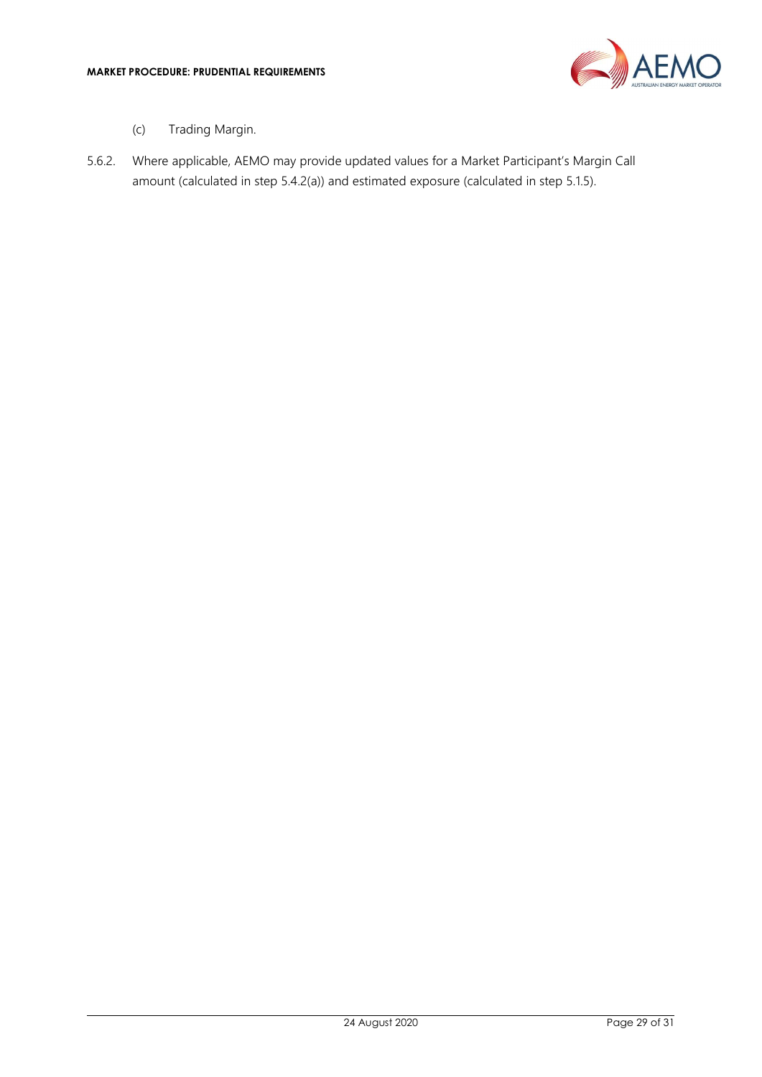

- (c) Trading Margin.
- 5.6.2. Where applicable, AEMO may provide updated values for a Market Participant's Margin Call amount (calculated in step 5.4.2(a)) and estimated exposure (calculated in step 5.1.5).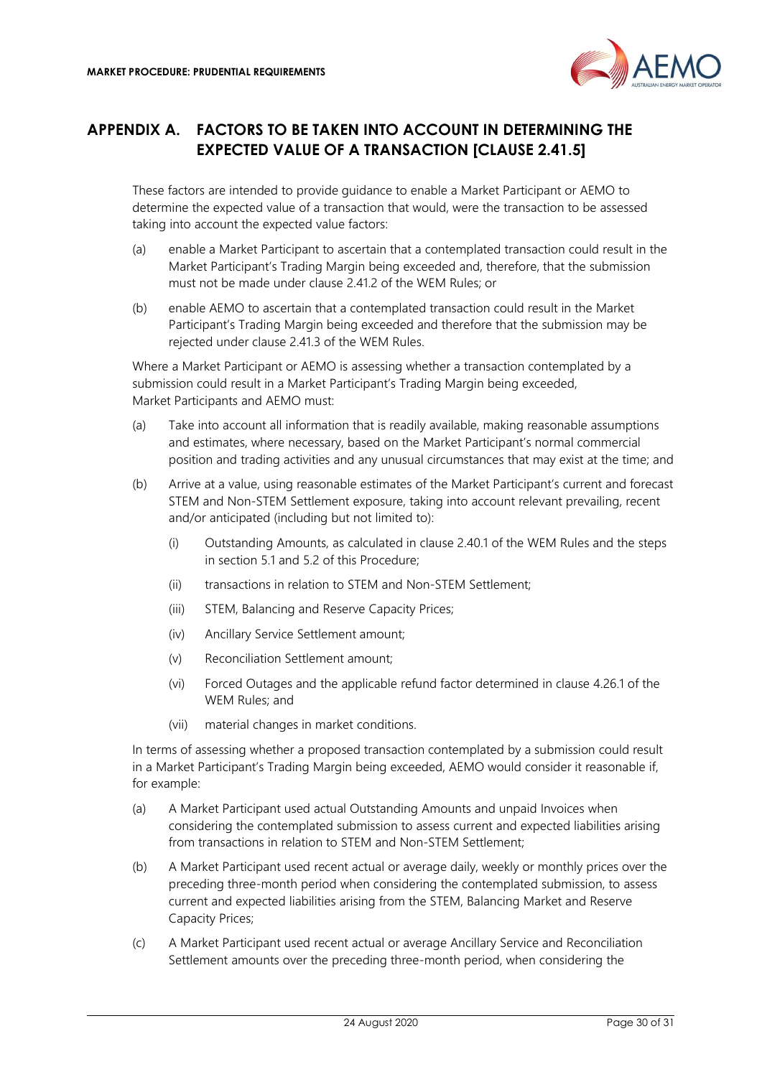

## APPENDIX A. FACTORS TO BE TAKEN INTO ACCOUNT IN DETERMINING THE EXPECTED VALUE OF A TRANSACTION [CLAUSE 2.41.5]

These factors are intended to provide guidance to enable a Market Participant or AEMO to determine the expected value of a transaction that would, were the transaction to be assessed taking into account the expected value factors:

- (a) enable a Market Participant to ascertain that a contemplated transaction could result in the Market Participant's Trading Margin being exceeded and, therefore, that the submission must not be made under clause 2.41.2 of the WEM Rules; or
- (b) enable AEMO to ascertain that a contemplated transaction could result in the Market Participant's Trading Margin being exceeded and therefore that the submission may be rejected under clause 2.41.3 of the WEM Rules.

Where a Market Participant or AEMO is assessing whether a transaction contemplated by a submission could result in a Market Participant's Trading Margin being exceeded, Market Participants and AEMO must:

- (a) Take into account all information that is readily available, making reasonable assumptions and estimates, where necessary, based on the Market Participant's normal commercial position and trading activities and any unusual circumstances that may exist at the time; and
- (b) Arrive at a value, using reasonable estimates of the Market Participant's current and forecast STEM and Non-STEM Settlement exposure, taking into account relevant prevailing, recent and/or anticipated (including but not limited to):
	- (i) Outstanding Amounts, as calculated in clause 2.40.1 of the WEM Rules and the steps in section 5.1 and 5.2 of this Procedure;
	- (ii) transactions in relation to STEM and Non-STEM Settlement;
	- (iii) STEM, Balancing and Reserve Capacity Prices;
	- (iv) Ancillary Service Settlement amount;
	- (v) Reconciliation Settlement amount;
	- (vi) Forced Outages and the applicable refund factor determined in clause 4.26.1 of the WEM Rules; and
	- (vii) material changes in market conditions.

In terms of assessing whether a proposed transaction contemplated by a submission could result in a Market Participant's Trading Margin being exceeded, AEMO would consider it reasonable if, for example:

- (a) A Market Participant used actual Outstanding Amounts and unpaid Invoices when considering the contemplated submission to assess current and expected liabilities arising from transactions in relation to STEM and Non-STEM Settlement;
- (b) A Market Participant used recent actual or average daily, weekly or monthly prices over the preceding three-month period when considering the contemplated submission, to assess current and expected liabilities arising from the STEM, Balancing Market and Reserve Capacity Prices;
- (c) A Market Participant used recent actual or average Ancillary Service and Reconciliation Settlement amounts over the preceding three-month period, when considering the